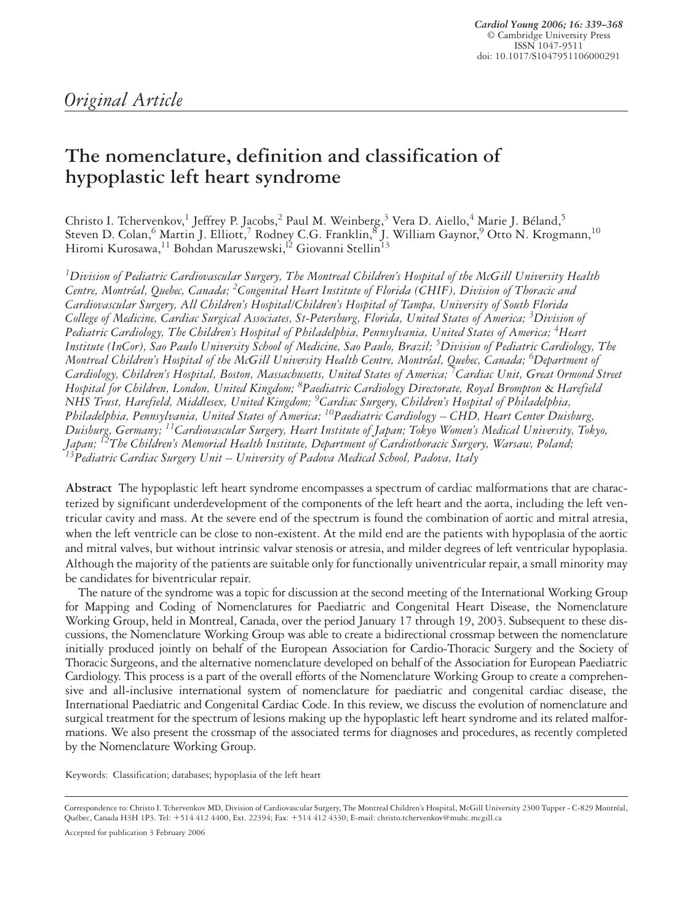# **The nomenclature, definition and classification of hypoplastic left heart syndrome**

Christo I. Tchervenkov,<sup>1</sup> Jeffrey P. Jacobs,<sup>2</sup> Paul M. Weinberg,<sup>3</sup> Vera D. Aiello,<sup>4</sup> Marie J. Béland,<sup>5</sup> Steven D. Colan, $^6$  Martin J. Elliott, $^7$  Rodney C.G. Franklin, $^8$  J. William Gaynor, $^9$  Otto N. Krogmann, $^{10}$ Hiromi Kurosawa,<sup>11</sup> Bohdan Maruszewski,<sup>12</sup> Giovanni Stellin<sup>13</sup>

*1 Division of Pediatric Cardiovascular Surgery, The Montreal Children's Hospital of the McGill University Health* Centre, Montréal, Quebec, Canada; <sup>2</sup>Congenital Heart Institute of Florida (CHIF), Division of Thoracic and *Cardiovascular Surgery, All Children's Hospital/Children's Hospital of Tampa, University of South Florida College of Medicine, Cardiac Surgical Associates, St-Petersburg, Florida, United States of America; 3 Division of Pediatric Cardiology, The Children's Hospital of Philadelphia, Pennsylvania, United States of America; 4 Heart Institute (InCor), Sao Paulo University School of Medicine, Sao Paulo, Brazil; 5 Division of Pediatric Cardiology, The Montreal Children's Hospital of the McGill University Health Centre, Montréal, Quebec, Canada; 6 Department of Cardiology, Children's Hospital, Boston, Massachusetts, United States of America; 7 Cardiac Unit, Great Ormond Street Hospital for Children, London, United Kingdom; 8 Paediatric Cardiology Directorate, Royal Brompton* & *Harefield NHS Trust, Harefield, Middlesex, United Kingdom; 9 Cardiac Surgery, Children's Hospital of Philadelphia, Philadelphia, Pennsylvania, United States of America; 10Paediatric Cardiology – CHD, Heart Center Duisburg, Duisburg, Germany; 11Cardiovascular Surgery, Heart Institute of Japan; Tokyo Women's Medical University, Tokyo, Japan; 12The Children's Memorial Health Institute, Department of Cardiothoracic Surgery, Warsaw, Poland; 13Pediatric Cardiac Surgery Unit – University of Padova Medical School, Padova, Italy*

**Abstract** The hypoplastic left heart syndrome encompasses a spectrum of cardiac malformations that are characterized by significant underdevelopment of the components of the left heart and the aorta, including the left ventricular cavity and mass. At the severe end of the spectrum is found the combination of aortic and mitral atresia, when the left ventricle can be close to non-existent. At the mild end are the patients with hypoplasia of the aortic and mitral valves, but without intrinsic valvar stenosis or atresia, and milder degrees of left ventricular hypoplasia. Although the majority of the patients are suitable only for functionally univentricular repair, a small minority may be candidates for biventricular repair.

The nature of the syndrome was a topic for discussion at the second meeting of the International Working Group for Mapping and Coding of Nomenclatures for Paediatric and Congenital Heart Disease, the Nomenclature Working Group, held in Montreal, Canada, over the period January 17 through 19, 2003. Subsequent to these discussions, the Nomenclature Working Group was able to create a bidirectional crossmap between the nomenclature initially produced jointly on behalf of the European Association for Cardio-Thoracic Surgery and the Society of Thoracic Surgeons, and the alternative nomenclature developed on behalf of the Association for European Paediatric Cardiology. This process is a part of the overall efforts of the Nomenclature Working Group to create a comprehensive and all-inclusive international system of nomenclature for paediatric and congenital cardiac disease, the International Paediatric and Congenital Cardiac Code. In this review, we discuss the evolution of nomenclature and surgical treatment for the spectrum of lesions making up the hypoplastic left heart syndrome and its related malformations. We also present the crossmap of the associated terms for diagnoses and procedures, as recently completed by the Nomenclature Working Group.

Keywords: Classification; databases; hypoplasia of the left heart

Accepted for publication 3 February 2006

Correspondence to: Christo I. Tchervenkov MD, Division of Cardiovascular Surgery, The Montreal Children's Hospital, McGill University 2300 Tupper - C-829 Montréal, Québec, Canada H3H 1P3. Tel: 514 412 4400, Ext. 22394; Fax: 514 412 4330; E-mail: christo.tchervenkov@muhc.mcgill.ca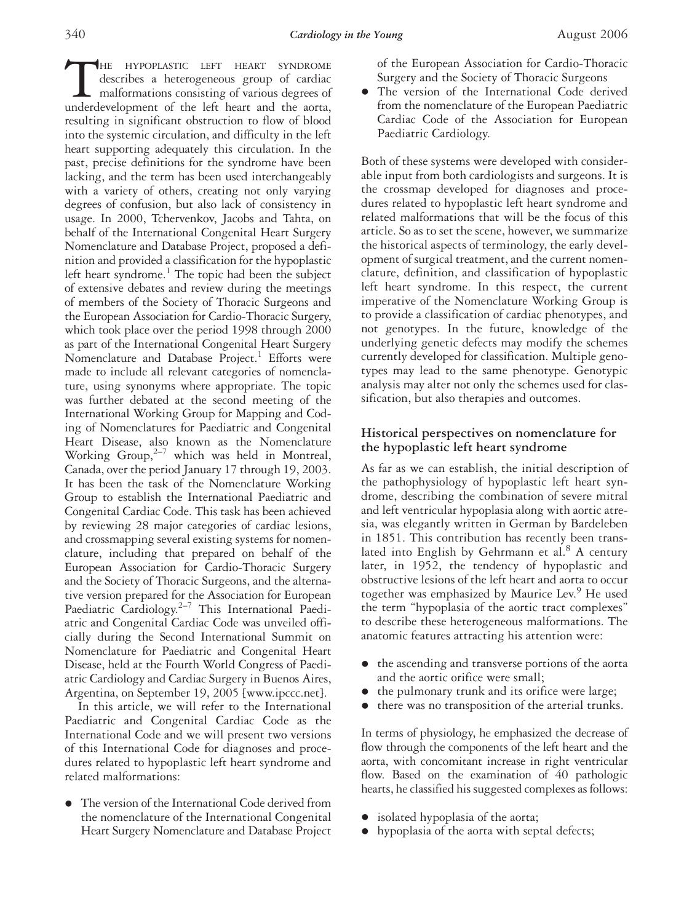THE HYPOPLASTIC LEFT HEART SYNDROME<br>describes a heterogeneous group of cardiac<br>malformations consisting of various degrees of<br>underdevelopment of the left heart and the aorta, describes a heterogeneous group of cardiac malformations consisting of various degrees of underdevelopment of the left heart and the aorta, resulting in significant obstruction to flow of blood into the systemic circulation, and difficulty in the left heart supporting adequately this circulation. In the past, precise definitions for the syndrome have been lacking, and the term has been used interchangeably with a variety of others, creating not only varying degrees of confusion, but also lack of consistency in usage. In 2000, Tchervenkov, Jacobs and Tahta, on behalf of the International Congenital Heart Surgery Nomenclature and Database Project, proposed a definition and provided a classification for the hypoplastic left heart syndrome.<sup>1</sup> The topic had been the subject of extensive debates and review during the meetings of members of the Society of Thoracic Surgeons and the European Association for Cardio-Thoracic Surgery, which took place over the period 1998 through 2000 as part of the International Congenital Heart Surgery Nomenclature and Database Project.<sup>1</sup> Efforts were made to include all relevant categories of nomenclature, using synonyms where appropriate. The topic was further debated at the second meeting of the International Working Group for Mapping and Coding of Nomenclatures for Paediatric and Congenital Heart Disease, also known as the Nomenclature Working  $Group,^{2-7}$  which was held in Montreal, Canada, over the period January 17 through 19, 2003. It has been the task of the Nomenclature Working Group to establish the International Paediatric and Congenital Cardiac Code. This task has been achieved by reviewing 28 major categories of cardiac lesions, and crossmapping several existing systems for nomenclature, including that prepared on behalf of the European Association for Cardio-Thoracic Surgery and the Society of Thoracic Surgeons, and the alternative version prepared for the Association for European Paediatric Cardiology.<sup>2–7</sup> This International Paediatric and Congenital Cardiac Code was unveiled officially during the Second International Summit on Nomenclature for Paediatric and Congenital Heart Disease, held at the Fourth World Congress of Paediatric Cardiology and Cardiac Surgery in Buenos Aires, Argentina, on September 19, 2005 [www.ipccc.net].

In this article, we will refer to the International Paediatric and Congenital Cardiac Code as the International Code and we will present two versions of this International Code for diagnoses and procedures related to hypoplastic left heart syndrome and related malformations:

 The version of the International Code derived from the nomenclature of the International Congenital Heart Surgery Nomenclature and Database Project

of the European Association for Cardio-Thoracic Surgery and the Society of Thoracic Surgeons

 The version of the International Code derived from the nomenclature of the European Paediatric Cardiac Code of the Association for European Paediatric Cardiology.

Both of these systems were developed with considerable input from both cardiologists and surgeons. It is the crossmap developed for diagnoses and procedures related to hypoplastic left heart syndrome and related malformations that will be the focus of this article. So as to set the scene, however, we summarize the historical aspects of terminology, the early development of surgical treatment, and the current nomenclature, definition, and classification of hypoplastic left heart syndrome. In this respect, the current imperative of the Nomenclature Working Group is to provide a classification of cardiac phenotypes, and not genotypes. In the future, knowledge of the underlying genetic defects may modify the schemes currently developed for classification. Multiple genotypes may lead to the same phenotype. Genotypic analysis may alter not only the schemes used for classification, but also therapies and outcomes.

#### **Historical perspectives on nomenclature for the hypoplastic left heart syndrome**

As far as we can establish, the initial description of the pathophysiology of hypoplastic left heart syndrome, describing the combination of severe mitral and left ventricular hypoplasia along with aortic atresia, was elegantly written in German by Bardeleben in 1851. This contribution has recently been translated into English by Gehrmann et al. $8$  A century later, in 1952, the tendency of hypoplastic and obstructive lesions of the left heart and aorta to occur together was emphasized by Maurice Lev.<sup>9</sup> He used the term "hypoplasia of the aortic tract complexes" to describe these heterogeneous malformations. The anatomic features attracting his attention were:

- the ascending and transverse portions of the aorta and the aortic orifice were small;
- the pulmonary trunk and its orifice were large;
- $\bullet$  there was no transposition of the arterial trunks.

In terms of physiology, he emphasized the decrease of flow through the components of the left heart and the aorta, with concomitant increase in right ventricular flow. Based on the examination of 40 pathologic hearts, he classified his suggested complexes as follows:

- isolated hypoplasia of the aorta;
- hypoplasia of the aorta with septal defects;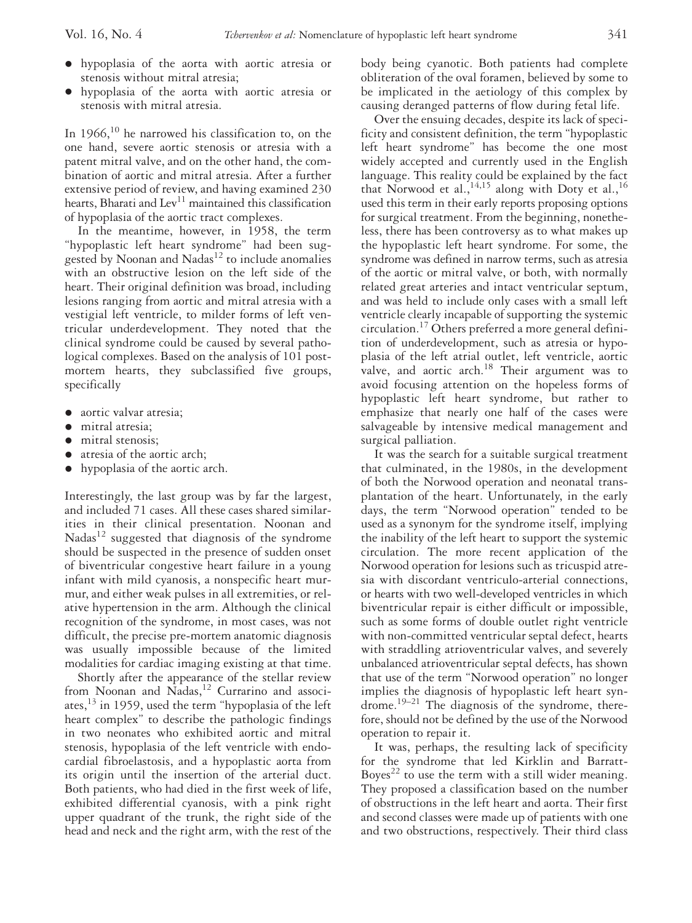- hypoplasia of the aorta with aortic atresia or stenosis without mitral atresia;
- hypoplasia of the aorta with aortic atresia or stenosis with mitral atresia.

In  $1966$ ,<sup>10</sup> he narrowed his classification to, on the one hand, severe aortic stenosis or atresia with a patent mitral valve, and on the other hand, the combination of aortic and mitral atresia. After a further extensive period of review, and having examined 230 hearts, Bharati and  $\text{Lev}^{11}$  maintained this classification of hypoplasia of the aortic tract complexes.

In the meantime, however, in 1958, the term "hypoplastic left heart syndrome" had been suggested by Noonan and Nadas<sup>12</sup> to include anomalies with an obstructive lesion on the left side of the heart. Their original definition was broad, including lesions ranging from aortic and mitral atresia with a vestigial left ventricle, to milder forms of left ventricular underdevelopment. They noted that the clinical syndrome could be caused by several pathological complexes. Based on the analysis of 101 postmortem hearts, they subclassified five groups, specifically

- aortic valvar atresia;
- mitral atresia;
- mitral stenosis:
- atresia of the aortic arch;
- hypoplasia of the aortic arch.

Interestingly, the last group was by far the largest, and included 71 cases. All these cases shared similarities in their clinical presentation. Noonan and  $Nadas<sup>12</sup> suggested that diagnosis of the syndrome$ should be suspected in the presence of sudden onset of biventricular congestive heart failure in a young infant with mild cyanosis, a nonspecific heart murmur, and either weak pulses in all extremities, or relative hypertension in the arm. Although the clinical recognition of the syndrome, in most cases, was not difficult, the precise pre-mortem anatomic diagnosis was usually impossible because of the limited modalities for cardiac imaging existing at that time.

Shortly after the appearance of the stellar review from Noonan and Nadas,<sup>12</sup> Currarino and associates,  $^{13}$  in 1959, used the term "hypoplasia of the left heart complex" to describe the pathologic findings in two neonates who exhibited aortic and mitral stenosis, hypoplasia of the left ventricle with endocardial fibroelastosis, and a hypoplastic aorta from its origin until the insertion of the arterial duct. Both patients, who had died in the first week of life, exhibited differential cyanosis, with a pink right upper quadrant of the trunk, the right side of the head and neck and the right arm, with the rest of the

body being cyanotic. Both patients had complete obliteration of the oval foramen, believed by some to be implicated in the aetiology of this complex by causing deranged patterns of flow during fetal life.

Over the ensuing decades, despite its lack of specificity and consistent definition, the term "hypoplastic left heart syndrome" has become the one most widely accepted and currently used in the English language. This reality could be explained by the fact that Norwood et al.,<sup>14,15</sup> along with Doty et al.,<sup>16</sup> used this term in their early reports proposing options for surgical treatment. From the beginning, nonetheless, there has been controversy as to what makes up the hypoplastic left heart syndrome. For some, the syndrome was defined in narrow terms, such as atresia of the aortic or mitral valve, or both, with normally related great arteries and intact ventricular septum, and was held to include only cases with a small left ventricle clearly incapable of supporting the systemic circulation.17 Others preferred a more general definition of underdevelopment, such as atresia or hypoplasia of the left atrial outlet, left ventricle, aortic valve, and aortic arch.<sup>18</sup> Their argument was to avoid focusing attention on the hopeless forms of hypoplastic left heart syndrome, but rather to emphasize that nearly one half of the cases were salvageable by intensive medical management and surgical palliation.

It was the search for a suitable surgical treatment that culminated, in the 1980s, in the development of both the Norwood operation and neonatal transplantation of the heart. Unfortunately, in the early days, the term "Norwood operation" tended to be used as a synonym for the syndrome itself, implying the inability of the left heart to support the systemic circulation. The more recent application of the Norwood operation for lesions such as tricuspid atresia with discordant ventriculo-arterial connections, or hearts with two well-developed ventricles in which biventricular repair is either difficult or impossible, such as some forms of double outlet right ventricle with non-committed ventricular septal defect, hearts with straddling atrioventricular valves, and severely unbalanced atrioventricular septal defects, has shown that use of the term "Norwood operation" no longer implies the diagnosis of hypoplastic left heart syndrome.19–21 The diagnosis of the syndrome, therefore, should not be defined by the use of the Norwood operation to repair it.

It was, perhaps, the resulting lack of specificity for the syndrome that led Kirklin and Barratt-Boyes<sup>22</sup> to use the term with a still wider meaning. They proposed a classification based on the number of obstructions in the left heart and aorta. Their first and second classes were made up of patients with one and two obstructions, respectively. Their third class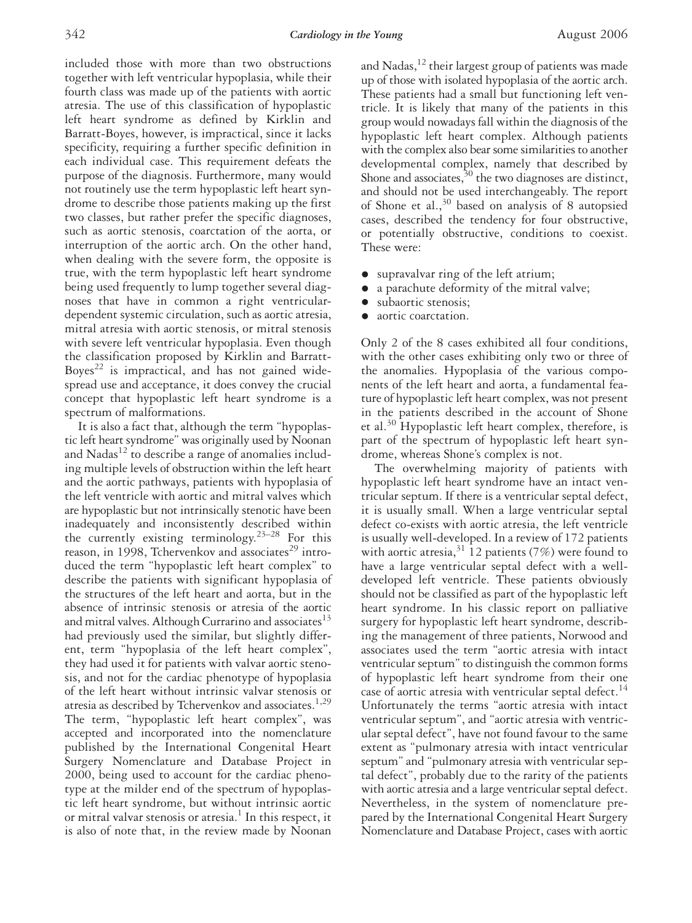included those with more than two obstructions together with left ventricular hypoplasia, while their fourth class was made up of the patients with aortic atresia. The use of this classification of hypoplastic left heart syndrome as defined by Kirklin and Barratt-Boyes, however, is impractical, since it lacks specificity, requiring a further specific definition in each individual case. This requirement defeats the purpose of the diagnosis. Furthermore, many would not routinely use the term hypoplastic left heart syndrome to describe those patients making up the first two classes, but rather prefer the specific diagnoses, such as aortic stenosis, coarctation of the aorta, or interruption of the aortic arch. On the other hand, when dealing with the severe form, the opposite is true, with the term hypoplastic left heart syndrome being used frequently to lump together several diagnoses that have in common a right ventriculardependent systemic circulation, such as aortic atresia, mitral atresia with aortic stenosis, or mitral stenosis with severe left ventricular hypoplasia. Even though the classification proposed by Kirklin and Barratt-Boyes<sup>22</sup> is impractical, and has not gained widespread use and acceptance, it does convey the crucial concept that hypoplastic left heart syndrome is a spectrum of malformations.

It is also a fact that, although the term "hypoplastic left heart syndrome" was originally used by Noonan and  $N$ adas $^{12}$  to describe a range of anomalies including multiple levels of obstruction within the left heart and the aortic pathways, patients with hypoplasia of the left ventricle with aortic and mitral valves which are hypoplastic but not intrinsically stenotic have been inadequately and inconsistently described within the currently existing terminology.23–28 For this reason, in 1998, Tchervenkov and associates $^{29}$  introduced the term "hypoplastic left heart complex" to describe the patients with significant hypoplasia of the structures of the left heart and aorta, but in the absence of intrinsic stenosis or atresia of the aortic and mitral valves. Although Currarino and associates $^{13}$ had previously used the similar, but slightly different, term "hypoplasia of the left heart complex", they had used it for patients with valvar aortic stenosis, and not for the cardiac phenotype of hypoplasia of the left heart without intrinsic valvar stenosis or atresia as described by Tchervenkov and associates.<sup>1,29</sup> The term, "hypoplastic left heart complex", was accepted and incorporated into the nomenclature published by the International Congenital Heart Surgery Nomenclature and Database Project in 2000, being used to account for the cardiac phenotype at the milder end of the spectrum of hypoplastic left heart syndrome, but without intrinsic aortic or mitral valvar stenosis or atresia.<sup>1</sup> In this respect, it is also of note that, in the review made by Noonan

and Nadas, $^{12}$  their largest group of patients was made up of those with isolated hypoplasia of the aortic arch. These patients had a small but functioning left ventricle. It is likely that many of the patients in this group would nowadays fall within the diagnosis of the hypoplastic left heart complex. Although patients with the complex also bear some similarities to another developmental complex, namely that described by Shone and associates,  $30$  the two diagnoses are distinct, and should not be used interchangeably. The report of Shone et al.,  $30$  based on analysis of 8 autopsied cases, described the tendency for four obstructive, or potentially obstructive, conditions to coexist. These were:

- supravalvar ring of the left atrium;
- a parachute deformity of the mitral valve;
- subaortic stenosis;
- aortic coarctation.

Only 2 of the 8 cases exhibited all four conditions, with the other cases exhibiting only two or three of the anomalies. Hypoplasia of the various components of the left heart and aorta, a fundamental feature of hypoplastic left heart complex, was not present in the patients described in the account of Shone et al.30 Hypoplastic left heart complex, therefore, is part of the spectrum of hypoplastic left heart syndrome, whereas Shone's complex is not.

The overwhelming majority of patients with hypoplastic left heart syndrome have an intact ventricular septum. If there is a ventricular septal defect, it is usually small. When a large ventricular septal defect co-exists with aortic atresia, the left ventricle is usually well-developed. In a review of 172 patients with aortic atresia,  $31\overline{1}2$  patients (7%) were found to have a large ventricular septal defect with a welldeveloped left ventricle. These patients obviously should not be classified as part of the hypoplastic left heart syndrome. In his classic report on palliative surgery for hypoplastic left heart syndrome, describing the management of three patients, Norwood and associates used the term "aortic atresia with intact ventricular septum" to distinguish the common forms of hypoplastic left heart syndrome from their one case of aortic atresia with ventricular septal defect.<sup>14</sup> Unfortunately the terms "aortic atresia with intact ventricular septum", and "aortic atresia with ventricular septal defect", have not found favour to the same extent as "pulmonary atresia with intact ventricular septum" and "pulmonary atresia with ventricular septal defect", probably due to the rarity of the patients with aortic atresia and a large ventricular septal defect. Nevertheless, in the system of nomenclature prepared by the International Congenital Heart Surgery Nomenclature and Database Project, cases with aortic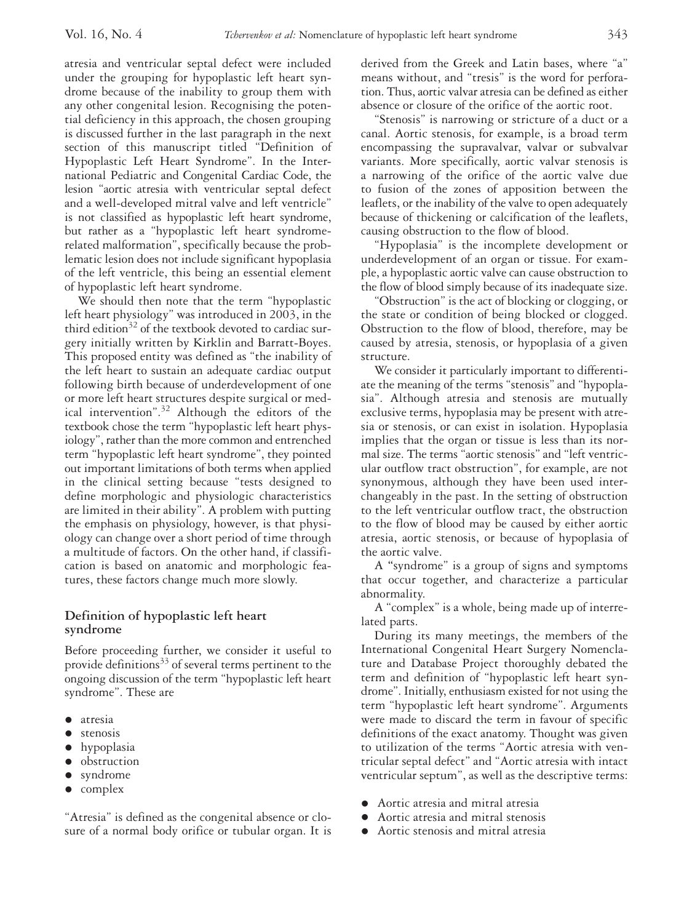atresia and ventricular septal defect were included under the grouping for hypoplastic left heart syndrome because of the inability to group them with any other congenital lesion. Recognising the potential deficiency in this approach, the chosen grouping is discussed further in the last paragraph in the next section of this manuscript titled "Definition of Hypoplastic Left Heart Syndrome". In the International Pediatric and Congenital Cardiac Code, the lesion "aortic atresia with ventricular septal defect and a well-developed mitral valve and left ventricle" is not classified as hypoplastic left heart syndrome, but rather as a "hypoplastic left heart syndromerelated malformation", specifically because the problematic lesion does not include significant hypoplasia of the left ventricle, this being an essential element of hypoplastic left heart syndrome.

We should then note that the term "hypoplastic left heart physiology" was introduced in 2003, in the third edition $32$  of the textbook devoted to cardiac surgery initially written by Kirklin and Barratt-Boyes. This proposed entity was defined as "the inability of the left heart to sustain an adequate cardiac output following birth because of underdevelopment of one or more left heart structures despite surgical or medical intervention".32 Although the editors of the textbook chose the term "hypoplastic left heart physiology", rather than the more common and entrenched term "hypoplastic left heart syndrome", they pointed out important limitations of both terms when applied in the clinical setting because "tests designed to define morphologic and physiologic characteristics are limited in their ability". A problem with putting the emphasis on physiology, however, is that physiology can change over a short period of time through a multitude of factors. On the other hand, if classification is based on anatomic and morphologic features, these factors change much more slowly.

# **Definition of hypoplastic left heart syndrome**

Before proceeding further, we consider it useful to provide definitions<sup>33</sup> of several terms pertinent to the ongoing discussion of the term "hypoplastic left heart syndrome". These are

- atresia
- **•** stenosis
- hypoplasia
- **·** obstruction
- syndrome
- complex

"Atresia" is defined as the congenital absence or closure of a normal body orifice or tubular organ. It is derived from the Greek and Latin bases, where "a" means without, and "tresis" is the word for perforation. Thus, aortic valvar atresia can be defined as either absence or closure of the orifice of the aortic root.

"Stenosis" is narrowing or stricture of a duct or a canal. Aortic stenosis, for example, is a broad term encompassing the supravalvar, valvar or subvalvar variants. More specifically, aortic valvar stenosis is a narrowing of the orifice of the aortic valve due to fusion of the zones of apposition between the leaflets, or the inability of the valve to open adequately because of thickening or calcification of the leaflets, causing obstruction to the flow of blood.

"Hypoplasia" is the incomplete development or underdevelopment of an organ or tissue. For example, a hypoplastic aortic valve can cause obstruction to the flow of blood simply because of its inadequate size.

"Obstruction" is the act of blocking or clogging, or the state or condition of being blocked or clogged. Obstruction to the flow of blood, therefore, may be caused by atresia, stenosis, or hypoplasia of a given structure.

We consider it particularly important to differentiate the meaning of the terms "stenosis" and "hypoplasia". Although atresia and stenosis are mutually exclusive terms, hypoplasia may be present with atresia or stenosis, or can exist in isolation. Hypoplasia implies that the organ or tissue is less than its normal size. The terms "aortic stenosis" and "left ventricular outflow tract obstruction", for example, are not synonymous, although they have been used interchangeably in the past. In the setting of obstruction to the left ventricular outflow tract, the obstruction to the flow of blood may be caused by either aortic atresia, aortic stenosis, or because of hypoplasia of the aortic valve.

A **"**syndrome" is a group of signs and symptoms that occur together, and characterize a particular abnormality.

A "complex" is a whole, being made up of interrelated parts.

During its many meetings, the members of the International Congenital Heart Surgery Nomenclature and Database Project thoroughly debated the term and definition of "hypoplastic left heart syndrome". Initially, enthusiasm existed for not using the term "hypoplastic left heart syndrome". Arguments were made to discard the term in favour of specific definitions of the exact anatomy. Thought was given to utilization of the terms "Aortic atresia with ventricular septal defect" and "Aortic atresia with intact ventricular septum", as well as the descriptive terms:

- Aortic atresia and mitral atresia
- Aortic atresia and mitral stenosis
- Aortic stenosis and mitral atresia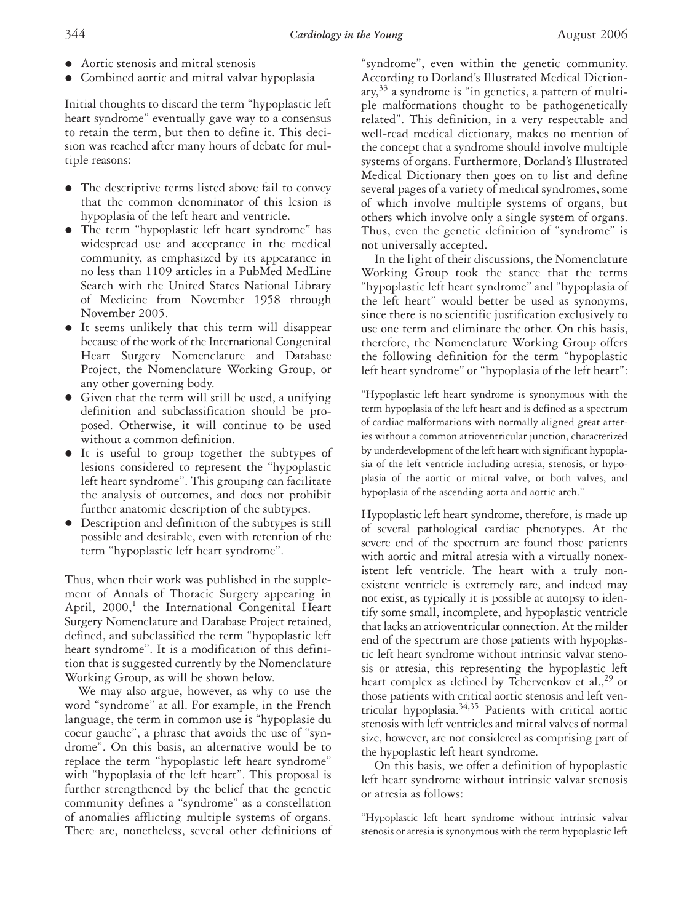- Aortic stenosis and mitral stenosis
- Combined aortic and mitral valvar hypoplasia

Initial thoughts to discard the term "hypoplastic left heart syndrome" eventually gave way to a consensus to retain the term, but then to define it. This decision was reached after many hours of debate for multiple reasons:

- The descriptive terms listed above fail to convey that the common denominator of this lesion is hypoplasia of the left heart and ventricle.
- The term "hypoplastic left heart syndrome" has widespread use and acceptance in the medical community, as emphasized by its appearance in no less than 1109 articles in a PubMed MedLine Search with the United States National Library of Medicine from November 1958 through November 2005.
- It seems unlikely that this term will disappear because of the work of the International Congenital Heart Surgery Nomenclature and Database Project, the Nomenclature Working Group, or any other governing body.
- Given that the term will still be used, a unifying definition and subclassification should be proposed. Otherwise, it will continue to be used without a common definition.
- It is useful to group together the subtypes of lesions considered to represent the "hypoplastic left heart syndrome". This grouping can facilitate the analysis of outcomes, and does not prohibit further anatomic description of the subtypes.
- Description and definition of the subtypes is still possible and desirable, even with retention of the term "hypoplastic left heart syndrome".

Thus, when their work was published in the supplement of Annals of Thoracic Surgery appearing in April,  $2000$ ,<sup>1</sup> the International Congenital Heart Surgery Nomenclature and Database Project retained, defined, and subclassified the term "hypoplastic left heart syndrome". It is a modification of this definition that is suggested currently by the Nomenclature Working Group, as will be shown below.

We may also argue, however, as why to use the word "syndrome" at all. For example, in the French language, the term in common use is "hypoplasie du coeur gauche", a phrase that avoids the use of "syndrome". On this basis, an alternative would be to replace the term "hypoplastic left heart syndrome" with "hypoplasia of the left heart". This proposal is further strengthened by the belief that the genetic community defines a "syndrome" as a constellation of anomalies afflicting multiple systems of organs. There are, nonetheless, several other definitions of

"syndrome", even within the genetic community. According to Dorland's Illustrated Medical Diction $ary$ <sup>33</sup> a syndrome is "in genetics, a pattern of multiple malformations thought to be pathogenetically related". This definition, in a very respectable and well-read medical dictionary, makes no mention of the concept that a syndrome should involve multiple systems of organs. Furthermore, Dorland's Illustrated Medical Dictionary then goes on to list and define several pages of a variety of medical syndromes, some of which involve multiple systems of organs, but others which involve only a single system of organs. Thus, even the genetic definition of "syndrome" is not universally accepted.

In the light of their discussions, the Nomenclature Working Group took the stance that the terms "hypoplastic left heart syndrome" and "hypoplasia of the left heart" would better be used as synonyms, since there is no scientific justification exclusively to use one term and eliminate the other. On this basis, therefore, the Nomenclature Working Group offers the following definition for the term "hypoplastic left heart syndrome" or "hypoplasia of the left heart":

"Hypoplastic left heart syndrome is synonymous with the term hypoplasia of the left heart and is defined as a spectrum of cardiac malformations with normally aligned great arteries without a common atrioventricular junction, characterized by underdevelopment of the left heart with significant hypoplasia of the left ventricle including atresia, stenosis, or hypoplasia of the aortic or mitral valve, or both valves, and hypoplasia of the ascending aorta and aortic arch."

Hypoplastic left heart syndrome, therefore, is made up of several pathological cardiac phenotypes. At the severe end of the spectrum are found those patients with aortic and mitral atresia with a virtually nonexistent left ventricle. The heart with a truly nonexistent ventricle is extremely rare, and indeed may not exist, as typically it is possible at autopsy to identify some small, incomplete, and hypoplastic ventricle that lacks an atrioventricular connection. At the milder end of the spectrum are those patients with hypoplastic left heart syndrome without intrinsic valvar stenosis or atresia, this representing the hypoplastic left heart complex as defined by Tchervenkov et al.,  $^{29}$  or those patients with critical aortic stenosis and left ventricular hypoplasia.<sup>34,35</sup> Patients with critical aortic stenosis with left ventricles and mitral valves of normal size, however, are not considered as comprising part of the hypoplastic left heart syndrome.

On this basis, we offer a definition of hypoplastic left heart syndrome without intrinsic valvar stenosis or atresia as follows:

"Hypoplastic left heart syndrome without intrinsic valvar stenosis or atresia is synonymous with the term hypoplastic left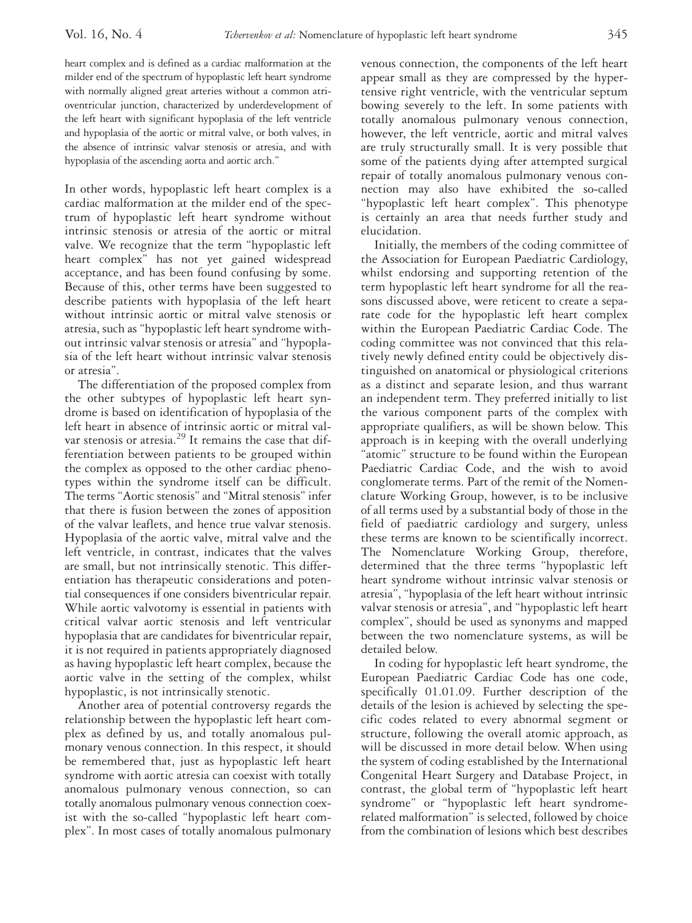heart complex and is defined as a cardiac malformation at the milder end of the spectrum of hypoplastic left heart syndrome with normally aligned great arteries without a common atrioventricular junction, characterized by underdevelopment of the left heart with significant hypoplasia of the left ventricle and hypoplasia of the aortic or mitral valve, or both valves, in the absence of intrinsic valvar stenosis or atresia, and with hypoplasia of the ascending aorta and aortic arch."

In other words, hypoplastic left heart complex is a cardiac malformation at the milder end of the spectrum of hypoplastic left heart syndrome without intrinsic stenosis or atresia of the aortic or mitral valve. We recognize that the term "hypoplastic left heart complex" has not yet gained widespread acceptance, and has been found confusing by some. Because of this, other terms have been suggested to describe patients with hypoplasia of the left heart without intrinsic aortic or mitral valve stenosis or atresia, such as "hypoplastic left heart syndrome without intrinsic valvar stenosis or atresia" and "hypoplasia of the left heart without intrinsic valvar stenosis or atresia".

The differentiation of the proposed complex from the other subtypes of hypoplastic left heart syndrome is based on identification of hypoplasia of the left heart in absence of intrinsic aortic or mitral valvar stenosis or atresia.<sup>29</sup> It remains the case that differentiation between patients to be grouped within the complex as opposed to the other cardiac phenotypes within the syndrome itself can be difficult. The terms "Aortic stenosis" and "Mitral stenosis" infer that there is fusion between the zones of apposition of the valvar leaflets, and hence true valvar stenosis. Hypoplasia of the aortic valve, mitral valve and the left ventricle, in contrast, indicates that the valves are small, but not intrinsically stenotic. This differentiation has therapeutic considerations and potential consequences if one considers biventricular repair. While aortic valvotomy is essential in patients with critical valvar aortic stenosis and left ventricular hypoplasia that are candidates for biventricular repair, it is not required in patients appropriately diagnosed as having hypoplastic left heart complex, because the aortic valve in the setting of the complex, whilst hypoplastic, is not intrinsically stenotic.

Another area of potential controversy regards the relationship between the hypoplastic left heart complex as defined by us, and totally anomalous pulmonary venous connection. In this respect, it should be remembered that, just as hypoplastic left heart syndrome with aortic atresia can coexist with totally anomalous pulmonary venous connection, so can totally anomalous pulmonary venous connection coexist with the so-called "hypoplastic left heart complex". In most cases of totally anomalous pulmonary

venous connection, the components of the left heart appear small as they are compressed by the hypertensive right ventricle, with the ventricular septum bowing severely to the left. In some patients with totally anomalous pulmonary venous connection, however, the left ventricle, aortic and mitral valves are truly structurally small. It is very possible that some of the patients dying after attempted surgical repair of totally anomalous pulmonary venous connection may also have exhibited the so-called "hypoplastic left heart complex". This phenotype is certainly an area that needs further study and elucidation.

Initially, the members of the coding committee of the Association for European Paediatric Cardiology, whilst endorsing and supporting retention of the term hypoplastic left heart syndrome for all the reasons discussed above, were reticent to create a separate code for the hypoplastic left heart complex within the European Paediatric Cardiac Code. The coding committee was not convinced that this relatively newly defined entity could be objectively distinguished on anatomical or physiological criterions as a distinct and separate lesion, and thus warrant an independent term. They preferred initially to list the various component parts of the complex with appropriate qualifiers, as will be shown below. This approach is in keeping with the overall underlying "atomic" structure to be found within the European Paediatric Cardiac Code, and the wish to avoid conglomerate terms. Part of the remit of the Nomenclature Working Group, however, is to be inclusive of all terms used by a substantial body of those in the field of paediatric cardiology and surgery, unless these terms are known to be scientifically incorrect. The Nomenclature Working Group, therefore, determined that the three terms "hypoplastic left heart syndrome without intrinsic valvar stenosis or atresia", "hypoplasia of the left heart without intrinsic valvar stenosis or atresia", and "hypoplastic left heart complex", should be used as synonyms and mapped between the two nomenclature systems, as will be detailed below.

In coding for hypoplastic left heart syndrome, the European Paediatric Cardiac Code has one code, specifically 01.01.09. Further description of the details of the lesion is achieved by selecting the specific codes related to every abnormal segment or structure, following the overall atomic approach, as will be discussed in more detail below. When using the system of coding established by the International Congenital Heart Surgery and Database Project, in contrast, the global term of "hypoplastic left heart syndrome" or "hypoplastic left heart syndromerelated malformation" is selected, followed by choice from the combination of lesions which best describes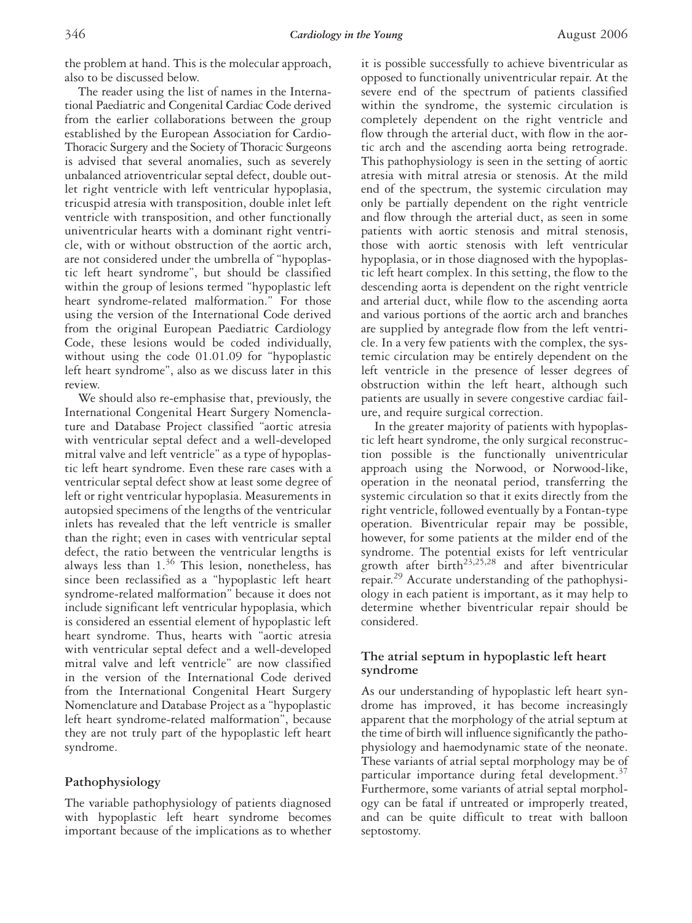the problem at hand. This is the molecular approach, also to be discussed below.

The reader using the list of names in the International Paediatric and Congenital Cardiac Code derived from the earlier collaborations between the group established by the European Association for Cardio-Thoracic Surgery and the Society of Thoracic Surgeons is advised that several anomalies, such as severely unbalanced atrioventricular septal defect, double outlet right ventricle with left ventricular hypoplasia, tricuspid atresia with transposition, double inlet left ventricle with transposition, and other functionally univentricular hearts with a dominant right ventricle, with or without obstruction of the aortic arch, are not considered under the umbrella of "hypoplastic left heart syndrome", but should be classified within the group of lesions termed "hypoplastic left heart syndrome-related malformation." For those using the version of the International Code derived from the original European Paediatric Cardiology Code, these lesions would be coded individually, without using the code 01.01.09 for "hypoplastic left heart syndrome", also as we discuss later in this review.

We should also re-emphasise that, previously, the International Congenital Heart Surgery Nomenclature and Database Project classified "aortic atresia with ventricular septal defect and a well-developed mitral valve and left ventricle" as a type of hypoplastic left heart syndrome. Even these rare cases with a ventricular septal defect show at least some degree of left or right ventricular hypoplasia. Measurements in autopsied specimens of the lengths of the ventricular inlets has revealed that the left ventricle is smaller than the right; even in cases with ventricular septal defect, the ratio between the ventricular lengths is always less than  $1.^{36}$  This lesion, nonetheless, has since been reclassified as a "hypoplastic left heart syndrome-related malformation" because it does not include significant left ventricular hypoplasia, which is considered an essential element of hypoplastic left heart syndrome. Thus, hearts with "aortic atresia with ventricular septal defect and a well-developed mitral valve and left ventricle" are now classified in the version of the International Code derived from the International Congenital Heart Surgery Nomenclature and Database Project as a "hypoplastic left heart syndrome-related malformation", because they are not truly part of the hypoplastic left heart syndrome.

## **Pathophysiology**

The variable pathophysiology of patients diagnosed with hypoplastic left heart syndrome becomes important because of the implications as to whether

it is possible successfully to achieve biventricular as opposed to functionally univentricular repair. At the severe end of the spectrum of patients classified within the syndrome, the systemic circulation is completely dependent on the right ventricle and flow through the arterial duct, with flow in the aortic arch and the ascending aorta being retrograde. This pathophysiology is seen in the setting of aortic atresia with mitral atresia or stenosis. At the mild end of the spectrum, the systemic circulation may only be partially dependent on the right ventricle and flow through the arterial duct, as seen in some patients with aortic stenosis and mitral stenosis, those with aortic stenosis with left ventricular hypoplasia, or in those diagnosed with the hypoplastic left heart complex. In this setting, the flow to the descending aorta is dependent on the right ventricle and arterial duct, while flow to the ascending aorta and various portions of the aortic arch and branches are supplied by antegrade flow from the left ventricle. In a very few patients with the complex, the systemic circulation may be entirely dependent on the left ventricle in the presence of lesser degrees of obstruction within the left heart, although such patients are usually in severe congestive cardiac failure, and require surgical correction.

In the greater majority of patients with hypoplastic left heart syndrome, the only surgical reconstruction possible is the functionally univentricular approach using the Norwood, or Norwood-like, operation in the neonatal period, transferring the systemic circulation so that it exits directly from the right ventricle, followed eventually by a Fontan-type operation. Biventricular repair may be possible, however, for some patients at the milder end of the syndrome. The potential exists for left ventricular growth after birth<sup>23,25,28</sup> and after biventricular repair.<sup>29</sup> Accurate understanding of the pathophysiology in each patient is important, as it may help to determine whether biventricular repair should be considered.

# **The atrial septum in hypoplastic left heart syndrome**

As our understanding of hypoplastic left heart syndrome has improved, it has become increasingly apparent that the morphology of the atrial septum at the time of birth will influence significantly the pathophysiology and haemodynamic state of the neonate. These variants of atrial septal morphology may be of particular importance during fetal development. $37$ Furthermore, some variants of atrial septal morphology can be fatal if untreated or improperly treated, and can be quite difficult to treat with balloon septostomy.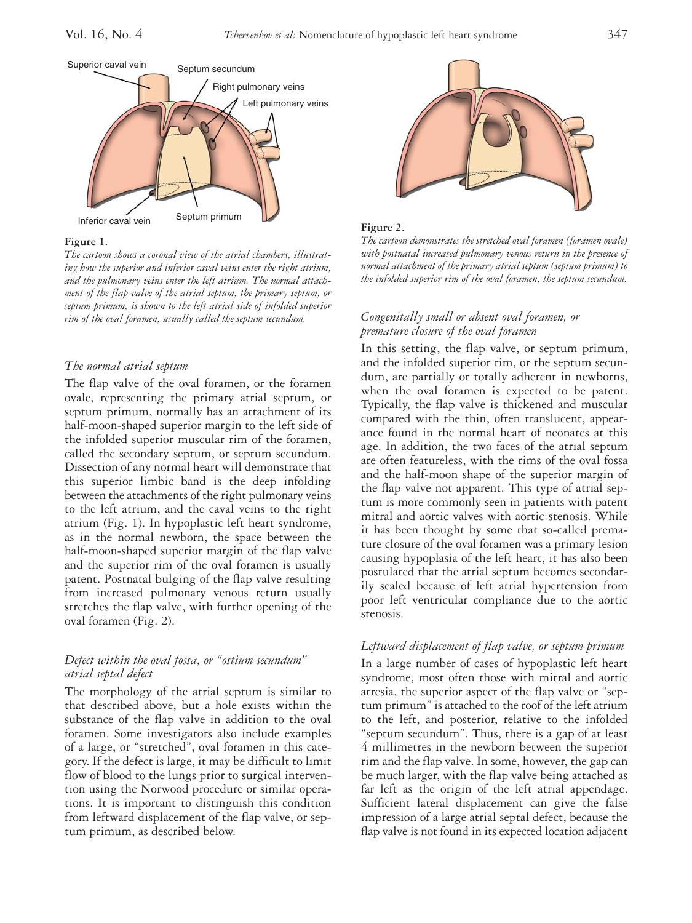

#### **Figure 1.**

*The cartoon shows a coronal view of the atrial chambers, illustrating how the superior and inferior caval veins enter the right atrium, and the pulmonary veins enter the left atrium. The normal attachment of the flap valve of the atrial septum, the primary septum, or septum primum, is shown to the left atrial side of infolded superior rim of the oval foramen, usually called the septum secundum.*

#### *The normal atrial septum*

The flap valve of the oval foramen, or the foramen ovale, representing the primary atrial septum, or septum primum, normally has an attachment of its half-moon-shaped superior margin to the left side of the infolded superior muscular rim of the foramen, called the secondary septum, or septum secundum. Dissection of any normal heart will demonstrate that this superior limbic band is the deep infolding between the attachments of the right pulmonary veins to the left atrium, and the caval veins to the right atrium (Fig. 1). In hypoplastic left heart syndrome, as in the normal newborn, the space between the half-moon-shaped superior margin of the flap valve and the superior rim of the oval foramen is usually patent. Postnatal bulging of the flap valve resulting from increased pulmonary venous return usually stretches the flap valve, with further opening of the oval foramen (Fig. 2).

## *Defect within the oval fossa, or "ostium secundum" atrial septal defect*

The morphology of the atrial septum is similar to that described above, but a hole exists within the substance of the flap valve in addition to the oval foramen. Some investigators also include examples of a large, or "stretched", oval foramen in this category. If the defect is large, it may be difficult to limit flow of blood to the lungs prior to surgical intervention using the Norwood procedure or similar operations. It is important to distinguish this condition from leftward displacement of the flap valve, or septum primum, as described below.





*The cartoon demonstrates the stretched oval foramen (foramen ovale) with postnatal increased pulmonary venous return in the presence of normal attachment of the primary atrial septum (septum primum) to the infolded superior rim of the oval foramen, the septum secundum.*

#### *Congenitally small or absent oval foramen, or premature closure of the oval foramen*

In this setting, the flap valve, or septum primum, and the infolded superior rim, or the septum secundum, are partially or totally adherent in newborns, when the oval foramen is expected to be patent. Typically, the flap valve is thickened and muscular compared with the thin, often translucent, appearance found in the normal heart of neonates at this age. In addition, the two faces of the atrial septum are often featureless, with the rims of the oval fossa and the half-moon shape of the superior margin of the flap valve not apparent. This type of atrial septum is more commonly seen in patients with patent mitral and aortic valves with aortic stenosis. While it has been thought by some that so-called premature closure of the oval foramen was a primary lesion causing hypoplasia of the left heart, it has also been postulated that the atrial septum becomes secondarily sealed because of left atrial hypertension from poor left ventricular compliance due to the aortic stenosis.

## *Leftward displacement of flap valve, or septum primum*

In a large number of cases of hypoplastic left heart syndrome, most often those with mitral and aortic atresia, the superior aspect of the flap valve or "septum primum" is attached to the roof of the left atrium to the left, and posterior, relative to the infolded "septum secundum". Thus, there is a gap of at least 4 millimetres in the newborn between the superior rim and the flap valve. In some, however, the gap can be much larger, with the flap valve being attached as far left as the origin of the left atrial appendage. Sufficient lateral displacement can give the false impression of a large atrial septal defect, because the flap valve is not found in its expected location adjacent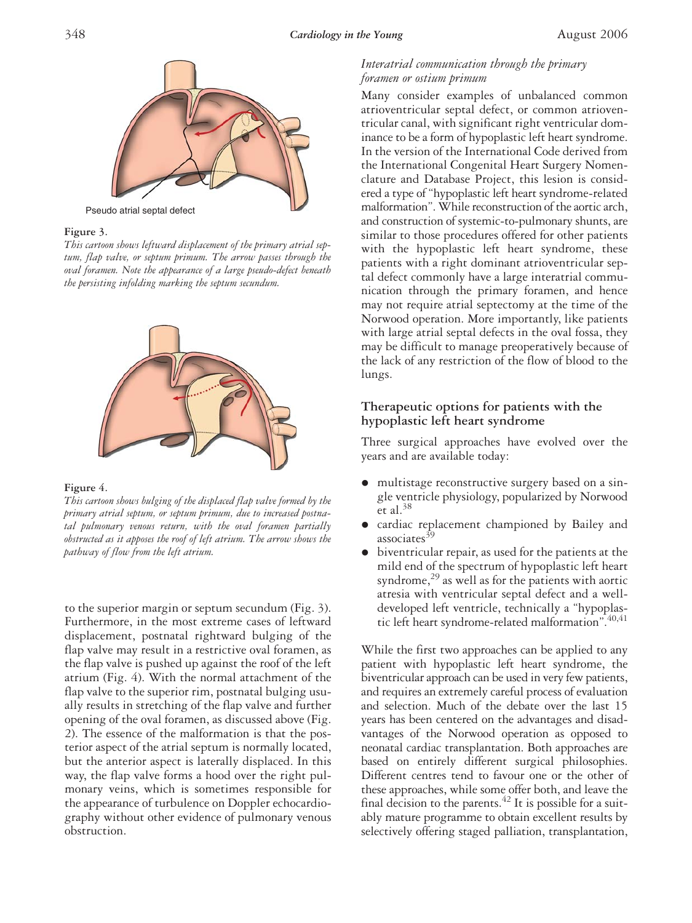

**Figure 3**.

*This cartoon shows leftward displacement of the primary atrial septum, flap valve, or septum primum. The arrow passes through the oval foramen. Note the appearance of a large pseudo-defect beneath the persisting infolding marking the septum secundum.*



**Figure 4**.

*This cartoon shows bulging of the displaced flap valve formed by the primary atrial septum, or septum primum, due to increased postnatal pulmonary venous return, with the oval foramen partially obstructed as it apposes the roof of left atrium. The arrow shows the pathway of flow from the left atrium.*

to the superior margin or septum secundum (Fig. 3). Furthermore, in the most extreme cases of leftward displacement, postnatal rightward bulging of the flap valve may result in a restrictive oval foramen, as the flap valve is pushed up against the roof of the left atrium (Fig. 4). With the normal attachment of the flap valve to the superior rim, postnatal bulging usually results in stretching of the flap valve and further opening of the oval foramen, as discussed above (Fig. 2). The essence of the malformation is that the posterior aspect of the atrial septum is normally located, but the anterior aspect is laterally displaced. In this way, the flap valve forms a hood over the right pulmonary veins, which is sometimes responsible for the appearance of turbulence on Doppler echocardiography without other evidence of pulmonary venous obstruction.

# *Interatrial communication through the primary foramen or ostium primum*

Many consider examples of unbalanced common atrioventricular septal defect, or common atrioventricular canal, with significant right ventricular dominance to be a form of hypoplastic left heart syndrome. In the version of the International Code derived from the International Congenital Heart Surgery Nomenclature and Database Project, this lesion is considered a type of "hypoplastic left heart syndrome-related malformation". While reconstruction of the aortic arch, and construction of systemic-to-pulmonary shunts, are similar to those procedures offered for other patients with the hypoplastic left heart syndrome, these patients with a right dominant atrioventricular septal defect commonly have a large interatrial communication through the primary foramen, and hence may not require atrial septectomy at the time of the Norwood operation. More importantly, like patients with large atrial septal defects in the oval fossa, they may be difficult to manage preoperatively because of the lack of any restriction of the flow of blood to the lungs.

# **Therapeutic options for patients with the hypoplastic left heart syndrome**

Three surgical approaches have evolved over the years and are available today:

- multistage reconstructive surgery based on a single ventricle physiology, popularized by Norwood et al. $38$
- cardiac replacement championed by Bailey and associates<sup>39</sup>
- biventricular repair, as used for the patients at the mild end of the spectrum of hypoplastic left heart syndrome, $^{29}$  as well as for the patients with aortic atresia with ventricular septal defect and a welldeveloped left ventricle, technically a "hypoplastic left heart syndrome-related malformation".40,41

While the first two approaches can be applied to any patient with hypoplastic left heart syndrome, the biventricular approach can be used in very few patients, and requires an extremely careful process of evaluation and selection. Much of the debate over the last 15 years has been centered on the advantages and disadvantages of the Norwood operation as opposed to neonatal cardiac transplantation. Both approaches are based on entirely different surgical philosophies. Different centres tend to favour one or the other of these approaches, while some offer both, and leave the final decision to the parents.<sup> $42$ </sup> It is possible for a suitably mature programme to obtain excellent results by selectively offering staged palliation, transplantation,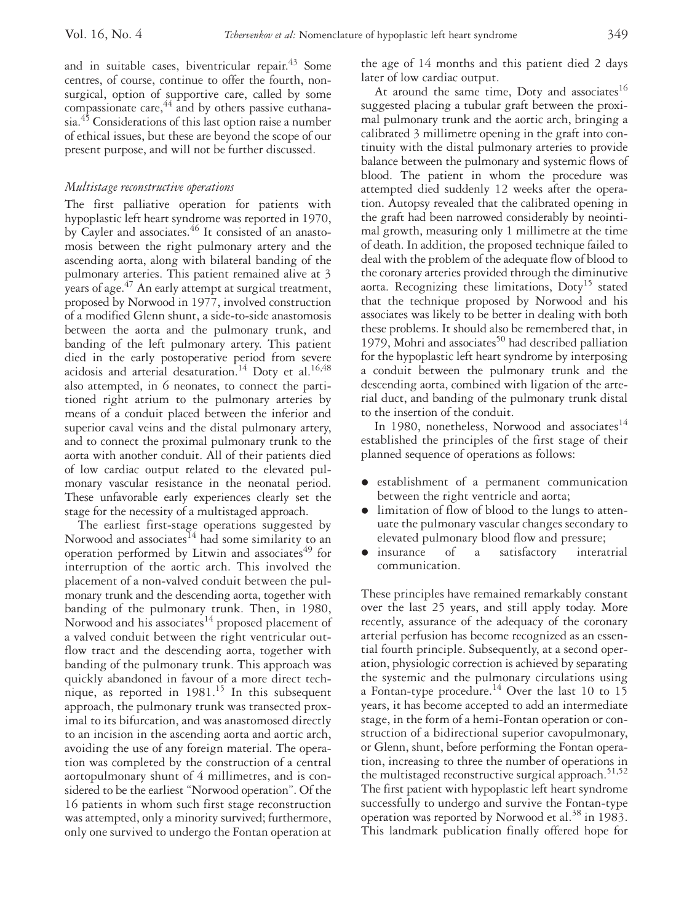and in suitable cases, biventricular repair. $43$  Some centres, of course, continue to offer the fourth, nonsurgical, option of supportive care, called by some compassionate care,  $44 \overline{11}$  and by others passive euthanasia.<sup>45</sup> Considerations of this last option raise a number of ethical issues, but these are beyond the scope of our present purpose, and will not be further discussed.

#### *Multistage reconstructive operations*

The first palliative operation for patients with hypoplastic left heart syndrome was reported in 1970, by Cayler and associates.<sup>46</sup> It consisted of an anastomosis between the right pulmonary artery and the ascending aorta, along with bilateral banding of the pulmonary arteries. This patient remained alive at 3 years of age. $47$  An early attempt at surgical treatment, proposed by Norwood in 1977, involved construction of a modified Glenn shunt, a side-to-side anastomosis between the aorta and the pulmonary trunk, and banding of the left pulmonary artery. This patient died in the early postoperative period from severe acidosis and arterial desaturation.<sup>14</sup> Doty et al.<sup>16,48</sup> also attempted, in 6 neonates, to connect the partitioned right atrium to the pulmonary arteries by means of a conduit placed between the inferior and superior caval veins and the distal pulmonary artery, and to connect the proximal pulmonary trunk to the aorta with another conduit. All of their patients died of low cardiac output related to the elevated pulmonary vascular resistance in the neonatal period. These unfavorable early experiences clearly set the stage for the necessity of a multistaged approach.

The earliest first-stage operations suggested by Norwood and associates<sup>14</sup> had some similarity to an operation performed by Litwin and associates<sup>49</sup> for interruption of the aortic arch. This involved the placement of a non-valved conduit between the pulmonary trunk and the descending aorta, together with banding of the pulmonary trunk. Then, in 1980, Norwood and his associates<sup>14</sup> proposed placement of a valved conduit between the right ventricular outflow tract and the descending aorta, together with banding of the pulmonary trunk. This approach was quickly abandoned in favour of a more direct technique, as reported in  $1981$ <sup>15</sup> In this subsequent approach, the pulmonary trunk was transected proximal to its bifurcation, and was anastomosed directly to an incision in the ascending aorta and aortic arch, avoiding the use of any foreign material. The operation was completed by the construction of a central aortopulmonary shunt of 4 millimetres, and is considered to be the earliest "Norwood operation". Of the 16 patients in whom such first stage reconstruction was attempted, only a minority survived; furthermore, only one survived to undergo the Fontan operation at

the age of 14 months and this patient died 2 days later of low cardiac output.

At around the same time, Doty and associates<sup>16</sup> suggested placing a tubular graft between the proximal pulmonary trunk and the aortic arch, bringing a calibrated 3 millimetre opening in the graft into continuity with the distal pulmonary arteries to provide balance between the pulmonary and systemic flows of blood. The patient in whom the procedure was attempted died suddenly 12 weeks after the operation. Autopsy revealed that the calibrated opening in the graft had been narrowed considerably by neointimal growth, measuring only 1 millimetre at the time of death. In addition, the proposed technique failed to deal with the problem of the adequate flow of blood to the coronary arteries provided through the diminutive aorta. Recognizing these limitations, Doty<sup>15</sup> stated that the technique proposed by Norwood and his associates was likely to be better in dealing with both these problems. It should also be remembered that, in 1979, Mohri and associates $50$  had described palliation for the hypoplastic left heart syndrome by interposing a conduit between the pulmonary trunk and the descending aorta, combined with ligation of the arterial duct, and banding of the pulmonary trunk distal to the insertion of the conduit.

In 1980, nonetheless, Norwood and associates $^{14}$ established the principles of the first stage of their planned sequence of operations as follows:

- establishment of a permanent communication between the right ventricle and aorta;
- limitation of flow of blood to the lungs to attenuate the pulmonary vascular changes secondary to elevated pulmonary blood flow and pressure;
- insurance of a satisfactory interatrial communication.

These principles have remained remarkably constant over the last 25 years, and still apply today. More recently, assurance of the adequacy of the coronary arterial perfusion has become recognized as an essential fourth principle. Subsequently, at a second operation, physiologic correction is achieved by separating the systemic and the pulmonary circulations using a Fontan-type procedure.<sup>14</sup> Over the last 10 to 15 years, it has become accepted to add an intermediate stage, in the form of a hemi-Fontan operation or construction of a bidirectional superior cavopulmonary, or Glenn, shunt, before performing the Fontan operation, increasing to three the number of operations in the multistaged reconstructive surgical approach.<sup>51,52</sup> The first patient with hypoplastic left heart syndrome successfully to undergo and survive the Fontan-type operation was reported by Norwood et al.<sup>38</sup> in 1983. This landmark publication finally offered hope for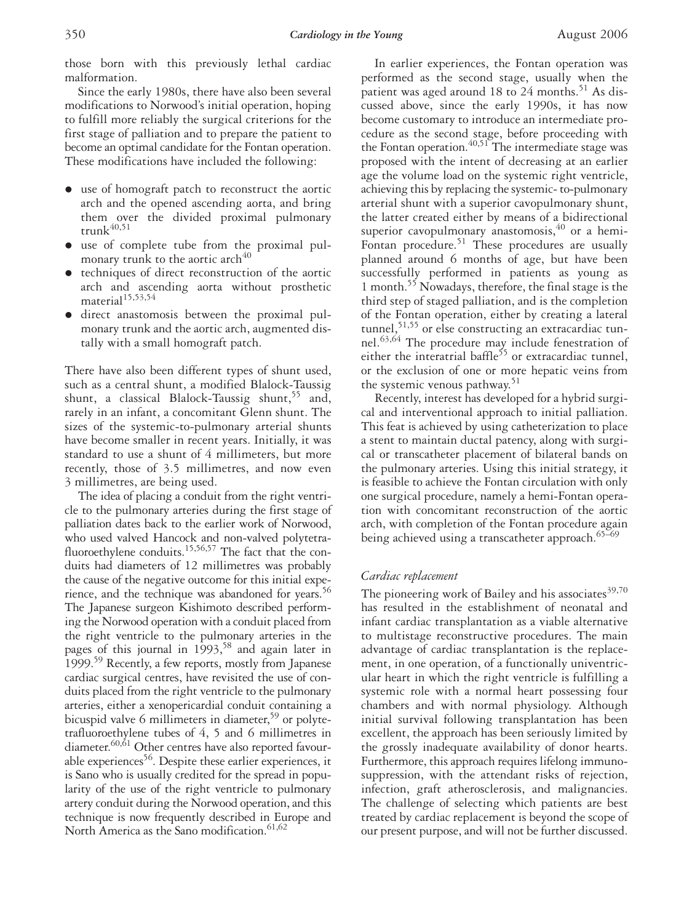those born with this previously lethal cardiac malformation.

Since the early 1980s, there have also been several modifications to Norwood's initial operation, hoping to fulfill more reliably the surgical criterions for the first stage of palliation and to prepare the patient to become an optimal candidate for the Fontan operation. These modifications have included the following:

- use of homograft patch to reconstruct the aortic arch and the opened ascending aorta, and bring them over the divided proximal pulmonary trunk $40,51$
- use of complete tube from the proximal pulmonary trunk to the aortic arch $40$
- techniques of direct reconstruction of the aortic arch and ascending aorta without prosthetic material<sup>15,53,54</sup>
- direct anastomosis between the proximal pulmonary trunk and the aortic arch, augmented distally with a small homograft patch.

There have also been different types of shunt used, such as a central shunt, a modified Blalock-Taussig shunt, a classical Blalock-Taussig shunt,  $55$  and, rarely in an infant, a concomitant Glenn shunt. The sizes of the systemic-to-pulmonary arterial shunts have become smaller in recent years. Initially, it was standard to use a shunt of 4 millimeters, but more recently, those of 3.5 millimetres, and now even 3 millimetres, are being used.

The idea of placing a conduit from the right ventricle to the pulmonary arteries during the first stage of palliation dates back to the earlier work of Norwood, who used valved Hancock and non-valved polytetrafluoroethylene conduits.<sup>15,56,57</sup> The fact that the conduits had diameters of 12 millimetres was probably the cause of the negative outcome for this initial experience, and the technique was abandoned for years.<sup>56</sup> The Japanese surgeon Kishimoto described performing the Norwood operation with a conduit placed from the right ventricle to the pulmonary arteries in the pages of this journal in 1993,<sup>58</sup> and again later in 1999.59 Recently, a few reports, mostly from Japanese cardiac surgical centres, have revisited the use of conduits placed from the right ventricle to the pulmonary arteries, either a xenopericardial conduit containing a bicuspid valve 6 millimeters in diameter,<sup>59</sup> or polytetrafluoroethylene tubes of 4, 5 and 6 millimetres in diameter.<sup>60,61</sup> Other centres have also reported favourable experiences<sup>56</sup>. Despite these earlier experiences, it is Sano who is usually credited for the spread in popularity of the use of the right ventricle to pulmonary artery conduit during the Norwood operation, and this technique is now frequently described in Europe and North America as the Sano modification.<sup>61,62</sup>

In earlier experiences, the Fontan operation was performed as the second stage, usually when the patient was aged around  $18$  to  $24$  months.<sup>51</sup> As discussed above, since the early 1990s, it has now become customary to introduce an intermediate procedure as the second stage, before proceeding with the Fontan operation.<sup>40,51</sup> The intermediate stage was proposed with the intent of decreasing at an earlier age the volume load on the systemic right ventricle, achieving this by replacing the systemic- to-pulmonary arterial shunt with a superior cavopulmonary shunt, the latter created either by means of a bidirectional superior cavopulmonary anastomosis,<sup>40</sup> or a hemi-Fontan procedure.<sup>51</sup> These procedures are usually planned around 6 months of age, but have been successfully performed in patients as young as 1 month.55 Nowadays, therefore, the final stage is the third step of staged palliation, and is the completion of the Fontan operation, either by creating a lateral tunnel,<sup>51,55</sup> or else constructing an extracardiac tunnel.<sup>63,64</sup> The procedure may include fenestration of either the interatrial baffle<sup>55</sup> or extracardiac tunnel, or the exclusion of one or more hepatic veins from the systemic venous pathway. $51$ 

Recently, interest has developed for a hybrid surgical and interventional approach to initial palliation. This feat is achieved by using catheterization to place a stent to maintain ductal patency, along with surgical or transcatheter placement of bilateral bands on the pulmonary arteries. Using this initial strategy, it is feasible to achieve the Fontan circulation with only one surgical procedure, namely a hemi-Fontan operation with concomitant reconstruction of the aortic arch, with completion of the Fontan procedure again being achieved using a transcatheter approach.<sup>65-69</sup>

#### *Cardiac replacement*

The pioneering work of Bailey and his associates  $39,70$ has resulted in the establishment of neonatal and infant cardiac transplantation as a viable alternative to multistage reconstructive procedures. The main advantage of cardiac transplantation is the replacement, in one operation, of a functionally univentricular heart in which the right ventricle is fulfilling a systemic role with a normal heart possessing four chambers and with normal physiology. Although initial survival following transplantation has been excellent, the approach has been seriously limited by the grossly inadequate availability of donor hearts. Furthermore, this approach requires lifelong immunosuppression, with the attendant risks of rejection, infection, graft atherosclerosis, and malignancies. The challenge of selecting which patients are best treated by cardiac replacement is beyond the scope of our present purpose, and will not be further discussed.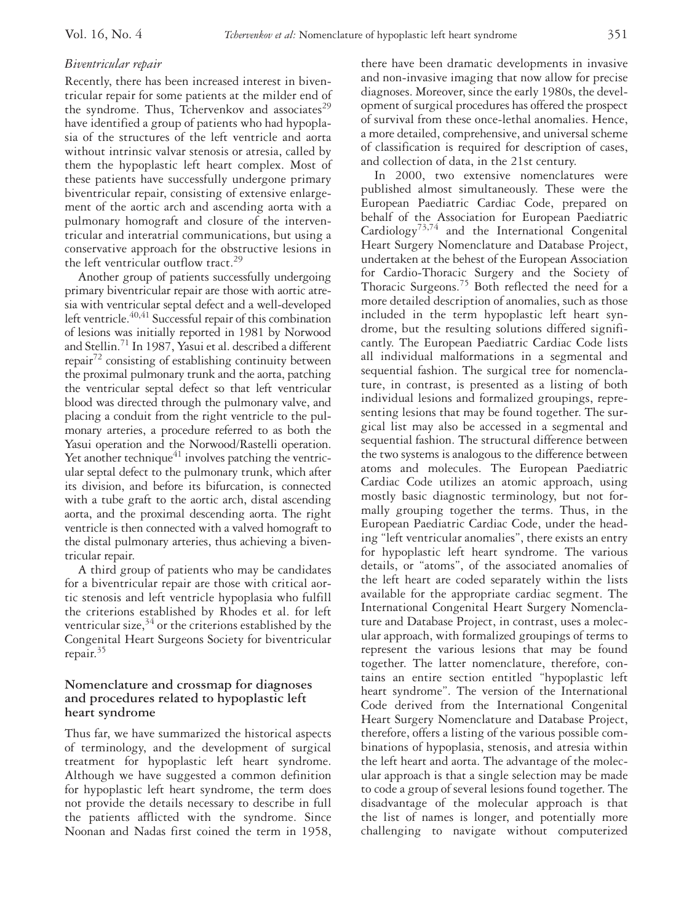# *Biventricular repair*

Recently, there has been increased interest in biventricular repair for some patients at the milder end of the syndrome. Thus, Tchervenkov and associates<sup>29</sup> have identified a group of patients who had hypoplasia of the structures of the left ventricle and aorta without intrinsic valvar stenosis or atresia, called by them the hypoplastic left heart complex. Most of these patients have successfully undergone primary biventricular repair, consisting of extensive enlargement of the aortic arch and ascending aorta with a pulmonary homograft and closure of the interventricular and interatrial communications, but using a conservative approach for the obstructive lesions in the left ventricular outflow tract.<sup>29</sup>

Another group of patients successfully undergoing primary biventricular repair are those with aortic atresia with ventricular septal defect and a well-developed left ventricle.<sup>40,41</sup> Successful repair of this combination of lesions was initially reported in 1981 by Norwood and Stellin.71 In 1987, Yasui et al. described a different repair<sup>72</sup> consisting of establishing continuity between the proximal pulmonary trunk and the aorta, patching the ventricular septal defect so that left ventricular blood was directed through the pulmonary valve, and placing a conduit from the right ventricle to the pulmonary arteries, a procedure referred to as both the Yasui operation and the Norwood/Rastelli operation. Yet another technique $41$  involves patching the ventricular septal defect to the pulmonary trunk, which after its division, and before its bifurcation, is connected with a tube graft to the aortic arch, distal ascending aorta, and the proximal descending aorta. The right ventricle is then connected with a valved homograft to the distal pulmonary arteries, thus achieving a biventricular repair.

A third group of patients who may be candidates for a biventricular repair are those with critical aortic stenosis and left ventricle hypoplasia who fulfill the criterions established by Rhodes et al. for left ventricular size, $34$  or the criterions established by the Congenital Heart Surgeons Society for biventricular repair.<sup>35</sup>

# **Nomenclature and crossmap for diagnoses and procedures related to hypoplastic left heart syndrome**

Thus far, we have summarized the historical aspects of terminology, and the development of surgical treatment for hypoplastic left heart syndrome. Although we have suggested a common definition for hypoplastic left heart syndrome, the term does not provide the details necessary to describe in full the patients afflicted with the syndrome. Since Noonan and Nadas first coined the term in 1958,

there have been dramatic developments in invasive and non-invasive imaging that now allow for precise diagnoses. Moreover, since the early 1980s, the development of surgical procedures has offered the prospect of survival from these once-lethal anomalies. Hence, a more detailed, comprehensive, and universal scheme of classification is required for description of cases, and collection of data, in the 21st century.

In 2000, two extensive nomenclatures were published almost simultaneously. These were the European Paediatric Cardiac Code, prepared on behalf of the Association for European Paediatric Cardiology73,74 and the International Congenital Heart Surgery Nomenclature and Database Project, undertaken at the behest of the European Association for Cardio-Thoracic Surgery and the Society of Thoracic Surgeons.<sup>75</sup> Both reflected the need for a more detailed description of anomalies, such as those included in the term hypoplastic left heart syndrome, but the resulting solutions differed significantly. The European Paediatric Cardiac Code lists all individual malformations in a segmental and sequential fashion. The surgical tree for nomenclature, in contrast, is presented as a listing of both individual lesions and formalized groupings, representing lesions that may be found together. The surgical list may also be accessed in a segmental and sequential fashion. The structural difference between the two systems is analogous to the difference between atoms and molecules. The European Paediatric Cardiac Code utilizes an atomic approach, using mostly basic diagnostic terminology, but not formally grouping together the terms. Thus, in the European Paediatric Cardiac Code, under the heading "left ventricular anomalies", there exists an entry for hypoplastic left heart syndrome. The various details, or "atoms", of the associated anomalies of the left heart are coded separately within the lists available for the appropriate cardiac segment. The International Congenital Heart Surgery Nomenclature and Database Project, in contrast, uses a molecular approach, with formalized groupings of terms to represent the various lesions that may be found together. The latter nomenclature, therefore, contains an entire section entitled "hypoplastic left heart syndrome". The version of the International Code derived from the International Congenital Heart Surgery Nomenclature and Database Project, therefore, offers a listing of the various possible combinations of hypoplasia, stenosis, and atresia within the left heart and aorta. The advantage of the molecular approach is that a single selection may be made to code a group of several lesions found together. The disadvantage of the molecular approach is that the list of names is longer, and potentially more challenging to navigate without computerized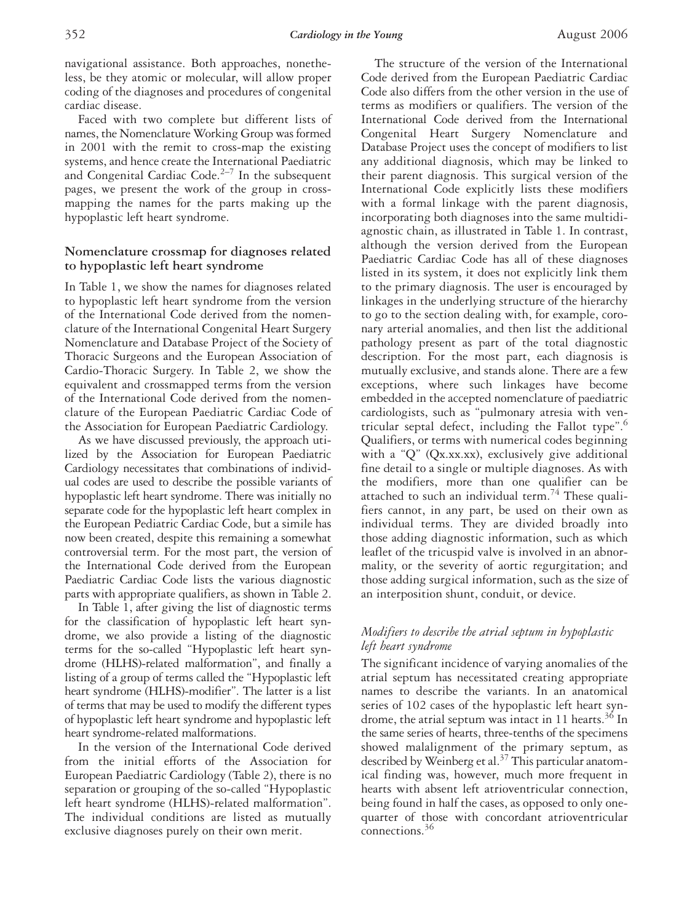Faced with two complete but different lists of names, the Nomenclature Working Group was formed in 2001 with the remit to cross-map the existing systems, and hence create the International Paediatric and Congenital Cardiac Code.<sup>2–7</sup> In the subsequent pages, we present the work of the group in crossmapping the names for the parts making up the hypoplastic left heart syndrome.

# **Nomenclature crossmap for diagnoses related to hypoplastic left heart syndrome**

In Table 1, we show the names for diagnoses related to hypoplastic left heart syndrome from the version of the International Code derived from the nomenclature of the International Congenital Heart Surgery Nomenclature and Database Project of the Society of Thoracic Surgeons and the European Association of Cardio-Thoracic Surgery. In Table 2, we show the equivalent and crossmapped terms from the version of the International Code derived from the nomenclature of the European Paediatric Cardiac Code of the Association for European Paediatric Cardiology.

As we have discussed previously, the approach utilized by the Association for European Paediatric Cardiology necessitates that combinations of individual codes are used to describe the possible variants of hypoplastic left heart syndrome. There was initially no separate code for the hypoplastic left heart complex in the European Pediatric Cardiac Code, but a simile has now been created, despite this remaining a somewhat controversial term. For the most part, the version of the International Code derived from the European Paediatric Cardiac Code lists the various diagnostic parts with appropriate qualifiers, as shown in Table 2.

In Table 1, after giving the list of diagnostic terms for the classification of hypoplastic left heart syndrome, we also provide a listing of the diagnostic terms for the so-called "Hypoplastic left heart syndrome (HLHS)-related malformation", and finally a listing of a group of terms called the "Hypoplastic left heart syndrome (HLHS)-modifier". The latter is a list of terms that may be used to modify the different types of hypoplastic left heart syndrome and hypoplastic left heart syndrome-related malformations.

In the version of the International Code derived from the initial efforts of the Association for European Paediatric Cardiology (Table 2), there is no separation or grouping of the so-called "Hypoplastic left heart syndrome (HLHS)-related malformation". The individual conditions are listed as mutually exclusive diagnoses purely on their own merit.

The structure of the version of the International Code derived from the European Paediatric Cardiac Code also differs from the other version in the use of terms as modifiers or qualifiers. The version of the International Code derived from the International Congenital Heart Surgery Nomenclature and Database Project uses the concept of modifiers to list any additional diagnosis, which may be linked to their parent diagnosis. This surgical version of the International Code explicitly lists these modifiers with a formal linkage with the parent diagnosis, incorporating both diagnoses into the same multidiagnostic chain, as illustrated in Table 1. In contrast, although the version derived from the European Paediatric Cardiac Code has all of these diagnoses listed in its system, it does not explicitly link them to the primary diagnosis. The user is encouraged by linkages in the underlying structure of the hierarchy to go to the section dealing with, for example, coronary arterial anomalies, and then list the additional pathology present as part of the total diagnostic description. For the most part, each diagnosis is mutually exclusive, and stands alone. There are a few exceptions, where such linkages have become embedded in the accepted nomenclature of paediatric cardiologists, such as "pulmonary atresia with ventricular septal defect, including the Fallot type".<sup>6</sup> Qualifiers, or terms with numerical codes beginning with a "Q" (Qx.xx.xx), exclusively give additional fine detail to a single or multiple diagnoses. As with the modifiers, more than one qualifier can be attached to such an individual term.<sup>74</sup> These qualifiers cannot, in any part, be used on their own as individual terms. They are divided broadly into those adding diagnostic information, such as which leaflet of the tricuspid valve is involved in an abnormality, or the severity of aortic regurgitation; and those adding surgical information, such as the size of an interposition shunt, conduit, or device.

# *Modifiers to describe the atrial septum in hypoplastic left heart syndrome*

The significant incidence of varying anomalies of the atrial septum has necessitated creating appropriate names to describe the variants. In an anatomical series of 102 cases of the hypoplastic left heart syndrome, the atrial septum was intact in 11 hearts.<sup>36</sup> In the same series of hearts, three-tenths of the specimens showed malalignment of the primary septum, as described by Weinberg et al.<sup>37</sup> This particular anatomical finding was, however, much more frequent in hearts with absent left atrioventricular connection, being found in half the cases, as opposed to only onequarter of those with concordant atrioventricular connections.36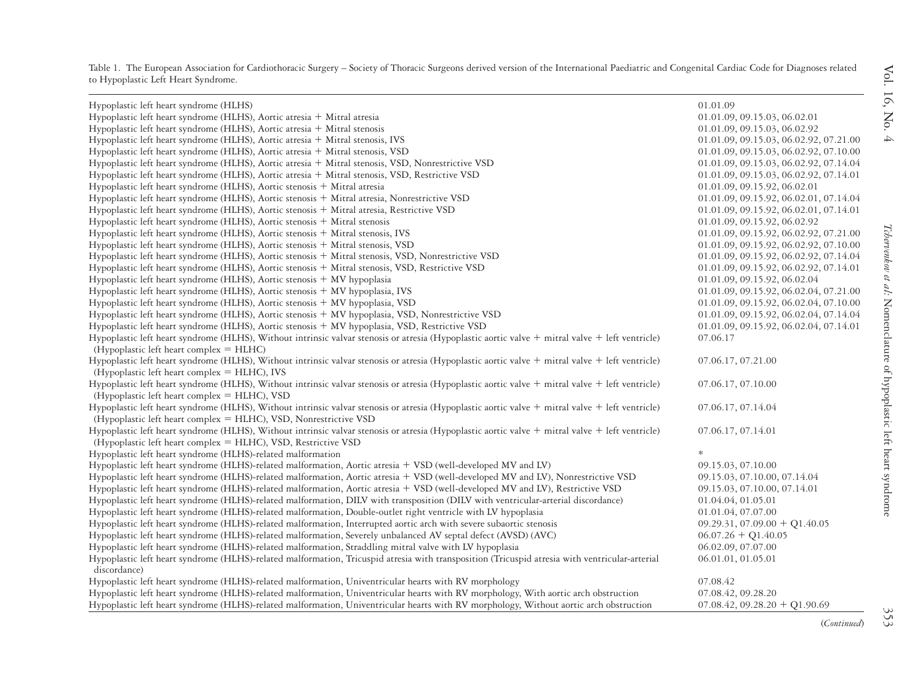| Hypoplastic left heart syndrome (HLHS)                                                                                                                                                                                                       | 01.01.09                               |
|----------------------------------------------------------------------------------------------------------------------------------------------------------------------------------------------------------------------------------------------|----------------------------------------|
| Hypoplastic left heart syndrome (HLHS), Aortic atresia + Mitral atresia                                                                                                                                                                      | 01.01.09, 09.15.03, 06.02.01           |
| Hypoplastic left heart syndrome (HLHS), Aortic atresia + Mitral stenosis                                                                                                                                                                     | 01.01.09, 09.15.03, 06.02.92           |
| Hypoplastic left heart syndrome (HLHS), Aortic atresia + Mitral stenosis, IVS                                                                                                                                                                | 01.01.09, 09.15.03, 06.02.92, 07.21.00 |
| Hypoplastic left heart syndrome (HLHS), Aortic atresia + Mitral stenosis, VSD                                                                                                                                                                | 01.01.09, 09.15.03, 06.02.92, 07.10.00 |
| Hypoplastic left heart syndrome (HLHS), Aortic atresia + Mitral stenosis, VSD, Nonrestrictive VSD                                                                                                                                            | 01.01.09, 09.15.03, 06.02.92, 07.14.04 |
| Hypoplastic left heart syndrome (HLHS), Aortic atresia + Mitral stenosis, VSD, Restrictive VSD                                                                                                                                               | 01.01.09, 09.15.03, 06.02.92, 07.14.01 |
| Hypoplastic left heart syndrome (HLHS), Aortic stenosis + Mitral atresia                                                                                                                                                                     | 01.01.09, 09.15.92, 06.02.01           |
| Hypoplastic left heart syndrome (HLHS), Aortic stenosis + Mitral atresia, Nonrestrictive VSD                                                                                                                                                 | 01.01.09, 09.15.92, 06.02.01, 07.14.04 |
| Hypoplastic left heart syndrome (HLHS), Aortic stenosis + Mitral atresia, Restrictive VSD                                                                                                                                                    | 01.01.09, 09.15.92, 06.02.01, 07.14.01 |
| Hypoplastic left heart syndrome (HLHS), Aortic stenosis + Mitral stenosis                                                                                                                                                                    | 01.01.09, 09.15.92, 06.02.92           |
| Hypoplastic left heart syndrome (HLHS), Aortic stenosis + Mitral stenosis, IVS                                                                                                                                                               | 01.01.09, 09.15.92, 06.02.92, 07.21.00 |
| Hypoplastic left heart syndrome (HLHS), Aortic stenosis + Mitral stenosis, VSD                                                                                                                                                               | 01.01.09, 09.15.92, 06.02.92, 07.10.00 |
| Hypoplastic left heart syndrome (HLHS), Aortic stenosis + Mitral stenosis, VSD, Nonrestrictive VSD                                                                                                                                           | 01.01.09, 09.15.92, 06.02.92, 07.14.04 |
| Hypoplastic left heart syndrome (HLHS), Aortic stenosis + Mitral stenosis, VSD, Restrictive VSD                                                                                                                                              | 01.01.09, 09.15.92, 06.02.92, 07.14.01 |
| Hypoplastic left heart syndrome (HLHS), Aortic stenosis + MV hypoplasia                                                                                                                                                                      | 01.01.09, 09.15.92, 06.02.04           |
| Hypoplastic left heart syndrome (HLHS), Aortic stenosis + MV hypoplasia, IVS                                                                                                                                                                 | 01.01.09, 09.15.92, 06.02.04, 07.21.00 |
| Hypoplastic left heart syndrome (HLHS), Aortic stenosis + MV hypoplasia, VSD                                                                                                                                                                 | 01.01.09, 09.15.92, 06.02.04, 07.10.00 |
| Hypoplastic left heart syndrome (HLHS), Aortic stenosis + MV hypoplasia, VSD, Nonrestrictive VSD                                                                                                                                             | 01.01.09, 09.15.92, 06.02.04, 07.14.04 |
| Hypoplastic left heart syndrome (HLHS), Aortic stenosis + MV hypoplasia, VSD, Restrictive VSD                                                                                                                                                | 01.01.09, 09.15.92, 06.02.04, 07.14.01 |
| Hypoplastic left heart syndrome (HLHS), Without intrinsic valvar stenosis or atresia (Hypoplastic aortic valve + mitral valve + left ventricle)                                                                                              | 07.06.17                               |
| (Hypoplastic left heart complex = HLHC)                                                                                                                                                                                                      |                                        |
| Hypoplastic left heart syndrome (HLHS), Without intrinsic valvar stenosis or atresia (Hypoplastic aortic valve + mitral valve + left ventricle)                                                                                              | 07.06.17, 07.21.00                     |
| (Hypoplastic left heart complex = HLHC), IVS                                                                                                                                                                                                 |                                        |
| Hypoplastic left heart syndrome (HLHS), Without intrinsic valvar stenosis or atresia (Hypoplastic aortic valve + mitral valve + left ventricle)                                                                                              | 07.06.17, 07.10.00                     |
| (Hypoplastic left heart complex = HLHC), VSD                                                                                                                                                                                                 |                                        |
| Hypoplastic left heart syndrome (HLHS), Without intrinsic valvar stenosis or atresia (Hypoplastic aortic valve + mitral valve + left ventricle)                                                                                              | 07.06.17, 07.14.04                     |
| (Hypoplastic left heart complex = HLHC), VSD, Nonrestrictive VSD                                                                                                                                                                             |                                        |
| Hypoplastic left heart syndrome (HLHS), Without intrinsic valvar stenosis or atresia (Hypoplastic aortic valve $+$ mitral valve $+$ left ventricle)                                                                                          | 07.06.17, 07.14.01                     |
| (Hypoplastic left heart complex = HLHC), VSD, Restrictive VSD                                                                                                                                                                                |                                        |
| Hypoplastic left heart syndrome (HLHS)-related malformation                                                                                                                                                                                  |                                        |
| Hypoplastic left heart syndrome (HLHS)-related malformation, Aortic atresia + VSD (well-developed MV and LV)                                                                                                                                 | 09.15.03, 07.10.00                     |
| Hypoplastic left heart syndrome (HLHS)-related malformation, Aortic atresia + VSD (well-developed MV and LV), Nonrestrictive VSD                                                                                                             | 09.15.03, 07.10.00, 07.14.04           |
| Hypoplastic left heart syndrome (HLHS)-related malformation, Aortic atresia + VSD (well-developed MV and LV), Restrictive VSD                                                                                                                | 09.15.03, 07.10.00, 07.14.01           |
| Hypoplastic left heart syndrome (HLHS)-related malformation, DILV with transposition (DILV with ventricular-arterial discordance)                                                                                                            | 01.04.04, 01.05.01                     |
| Hypoplastic left heart syndrome (HLHS)-related malformation, Double-outlet right ventricle with LV hypoplasia                                                                                                                                | 01.01.04, 07.07.00                     |
| Hypoplastic left heart syndrome (HLHS)-related malformation, Interrupted aortic arch with severe subaortic stenosis                                                                                                                          | $09.29.31$ , $07.09.00 + Q1.40.05$     |
| Hypoplastic left heart syndrome (HLHS)-related malformation, Severely unbalanced AV septal defect (AVSD) (AVC)                                                                                                                               | $06.07.26 + Q1.40.05$                  |
| Hypoplastic left heart syndrome (HLHS)-related malformation, Straddling mitral valve with LV hypoplasia                                                                                                                                      | 06.02.09, 07.07.00                     |
| Hypoplastic left heart syndrome (HLHS)-related malformation, Tricuspid atresia with transposition (Tricuspid atresia with ventricular-arterial                                                                                               | 06.01.01, 01.05.01                     |
| discordance)                                                                                                                                                                                                                                 |                                        |
| Hypoplastic left heart syndrome (HLHS)-related malformation, Univentricular hearts with RV morphology<br>Hypoplastic left heart syndrome (HLHS)-related malformation, Univentricular hearts with RV morphology, With aortic arch obstruction | 07.08.42                               |
|                                                                                                                                                                                                                                              | 07.08.42, 09.28.20                     |
| Hypoplastic left heart syndrome (HLHS)-related malformation, Univentricular hearts with RV morphology, Without aortic arch obstruction                                                                                                       | $07.08.42$ , $09.28.20 + Q1.90.69$     |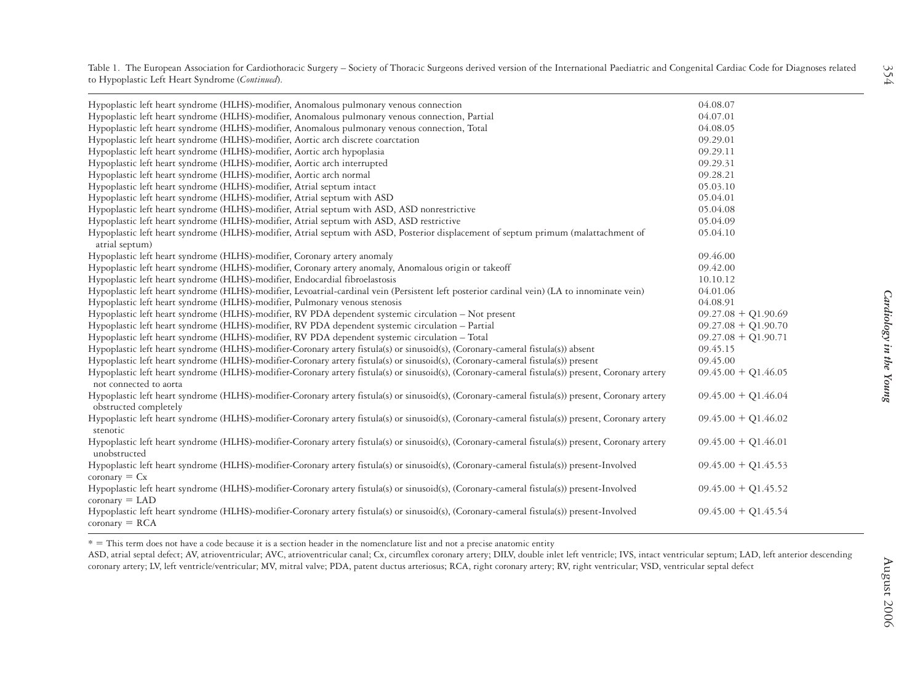| Hypoplastic left heart syndrome (HLHS)-modifier, Anomalous pulmonary venous connection, Partial<br>Hypoplastic left heart syndrome (HLHS)-modifier, Anomalous pulmonary venous connection, Total<br>Hypoplastic left heart syndrome (HLHS)-modifier, Aortic arch discrete coarctation<br>Hypoplastic left heart syndrome (HLHS)-modifier, Aortic arch hypoplasia | 04.07.01<br>04.08.05<br>09.29.01 |  |
|------------------------------------------------------------------------------------------------------------------------------------------------------------------------------------------------------------------------------------------------------------------------------------------------------------------------------------------------------------------|----------------------------------|--|
|                                                                                                                                                                                                                                                                                                                                                                  |                                  |  |
|                                                                                                                                                                                                                                                                                                                                                                  |                                  |  |
|                                                                                                                                                                                                                                                                                                                                                                  |                                  |  |
|                                                                                                                                                                                                                                                                                                                                                                  | 09.29.11                         |  |
| Hypoplastic left heart syndrome (HLHS)-modifier, Aortic arch interrupted                                                                                                                                                                                                                                                                                         | 09.29.31                         |  |
| Hypoplastic left heart syndrome (HLHS)-modifier, Aortic arch normal                                                                                                                                                                                                                                                                                              | 09.28.21                         |  |
| Hypoplastic left heart syndrome (HLHS)-modifier, Atrial septum intact                                                                                                                                                                                                                                                                                            | 05.03.10                         |  |
| Hypoplastic left heart syndrome (HLHS)-modifier, Atrial septum with ASD                                                                                                                                                                                                                                                                                          | 05.04.01                         |  |
| Hypoplastic left heart syndrome (HLHS)-modifier, Atrial septum with ASD, ASD nonrestrictive                                                                                                                                                                                                                                                                      | 05.04.08                         |  |
| Hypoplastic left heart syndrome (HLHS)-modifier, Atrial septum with ASD, ASD restrictive                                                                                                                                                                                                                                                                         | 05.04.09                         |  |
| Hypoplastic left heart syndrome (HLHS)-modifier, Atrial septum with ASD, Posterior displacement of septum primum (malattachment of<br>atrial septum)                                                                                                                                                                                                             | 05.04.10                         |  |
| Hypoplastic left heart syndrome (HLHS)-modifier, Coronary artery anomaly                                                                                                                                                                                                                                                                                         | 09.46.00                         |  |
| Hypoplastic left heart syndrome (HLHS)-modifier, Coronary artery anomaly, Anomalous origin or takeoff                                                                                                                                                                                                                                                            | 09.42.00                         |  |
| Hypoplastic left heart syndrome (HLHS)-modifier, Endocardial fibroelastosis                                                                                                                                                                                                                                                                                      | 10.10.12                         |  |
| Hypoplastic left heart syndrome (HLHS)-modifier, Levoatrial-cardinal vein (Persistent left posterior cardinal vein) (LA to innominate vein)                                                                                                                                                                                                                      | 04.01.06                         |  |
| Hypoplastic left heart syndrome (HLHS)-modifier, Pulmonary venous stenosis                                                                                                                                                                                                                                                                                       | 04.08.91                         |  |
| Hypoplastic left heart syndrome (HLHS)-modifier, RV PDA dependent systemic circulation - Not present                                                                                                                                                                                                                                                             | $09.27.08 + Q1.90.69$            |  |
| Hypoplastic left heart syndrome (HLHS)-modifier, RV PDA dependent systemic circulation – Partial                                                                                                                                                                                                                                                                 | $09.27.08 + Q1.90.70$            |  |
| Hypoplastic left heart syndrome (HLHS)-modifier, RV PDA dependent systemic circulation - Total                                                                                                                                                                                                                                                                   | $09.27.08 + Q1.90.71$            |  |
| Hypoplastic left heart syndrome (HLHS)-modifier-Coronary artery fistula(s) or sinusoid(s), (Coronary-cameral fistula(s)) absent                                                                                                                                                                                                                                  | 09.45.15                         |  |
| Hypoplastic left heart syndrome (HLHS)-modifier-Coronary artery fistula(s) or sinusoid(s), (Coronary-cameral fistula(s)) present                                                                                                                                                                                                                                 | 09.45.00                         |  |
| Hypoplastic left heart syndrome (HLHS)-modifier-Coronary artery fistula(s) or sinusoid(s), (Coronary-cameral fistula(s)) present, Coronary artery<br>not connected to aorta                                                                                                                                                                                      | $09.45.00 + Q1.46.05$            |  |
| Hypoplastic left heart syndrome (HLHS)-modifier-Coronary artery fistula(s) or sinusoid(s), (Coronary-cameral fistula(s)) present, Coronary artery<br>obstructed completely                                                                                                                                                                                       | $09.45.00 + Q1.46.04$            |  |
| Hypoplastic left heart syndrome (HLHS)-modifier-Coronary artery fistula(s) or sinusoid(s), (Coronary-cameral fistula(s)) present, Coronary artery<br>stenotic                                                                                                                                                                                                    | $09.45.00 + Q1.46.02$            |  |
| Hypoplastic left heart syndrome (HLHS)-modifier-Coronary artery fistula(s) or sinusoid(s), (Coronary-cameral fistula(s)) present, Coronary artery<br>unobstructed                                                                                                                                                                                                | $09.45.00 + Q1.46.01$            |  |
| Hypoplastic left heart syndrome (HLHS)-modifier-Coronary artery fistula(s) or sinusoid(s), (Coronary-cameral fistula(s)) present-Involved<br>$\text{coronary} = \text{Cx}$                                                                                                                                                                                       | $09.45.00 + Q1.45.53$            |  |
| Hypoplastic left heart syndrome (HLHS)-modifier-Coronary artery fistula(s) or sinusoid(s), (Coronary-cameral fistula(s)) present-Involved<br>$\text{coronary} = \text{LAD}$                                                                                                                                                                                      | $09.45.00 + Q1.45.52$            |  |
| Hypoplastic left heart syndrome (HLHS)-modifier-Coronary artery fistula(s) or sinusoid(s), (Coronary-cameral fistula(s)) present-Involved<br>$coronary = RCA$                                                                                                                                                                                                    | $09.45.00 + Q1.45.54$            |  |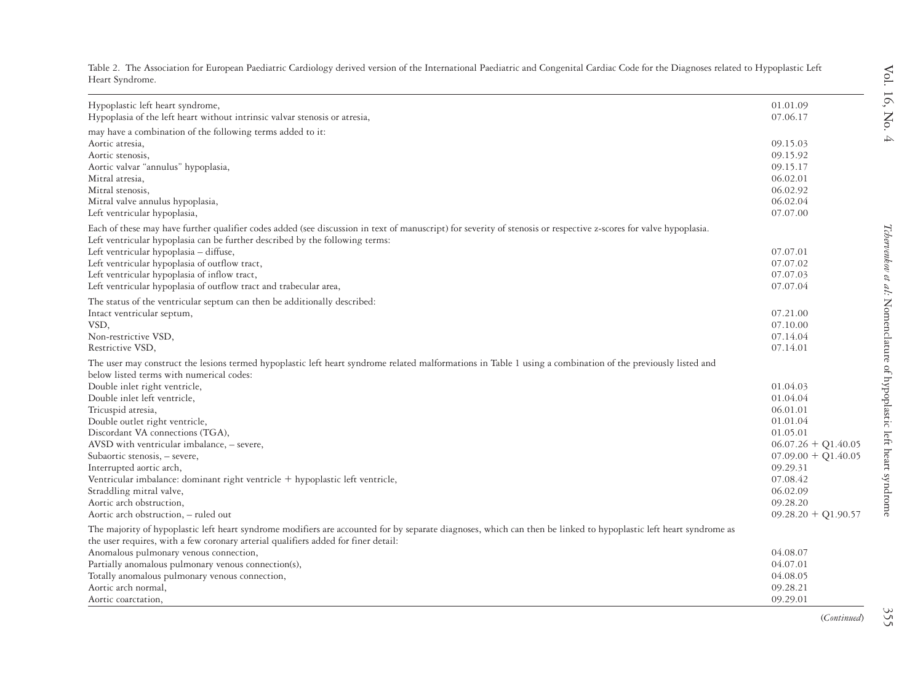| Hypoplastic left heart syndrome,<br>Hypoplasia of the left heart without intrinsic valvar stenosis or atresia,                                                                                                                                          | 01.01.09<br>07.06.17  |
|---------------------------------------------------------------------------------------------------------------------------------------------------------------------------------------------------------------------------------------------------------|-----------------------|
|                                                                                                                                                                                                                                                         |                       |
| may have a combination of the following terms added to it:                                                                                                                                                                                              |                       |
| Aortic atresia,                                                                                                                                                                                                                                         | 09.15.03<br>09.15.92  |
| Aortic stenosis,                                                                                                                                                                                                                                        | 09.15.17              |
| Aortic valvar "annulus" hypoplasia,                                                                                                                                                                                                                     | 06.02.01              |
| Mitral atresia,<br>Mitral stenosis,                                                                                                                                                                                                                     | 06.02.92              |
| Mitral valve annulus hypoplasia,                                                                                                                                                                                                                        | 06.02.04              |
| Left ventricular hypoplasia,                                                                                                                                                                                                                            | 07.07.00              |
| Each of these may have further qualifier codes added (see discussion in text of manuscript) for severity of stenosis or respective z-scores for valve hypoplasia.                                                                                       |                       |
| Left ventricular hypoplasia can be further described by the following terms:                                                                                                                                                                            |                       |
| Left ventricular hypoplasia - diffuse,                                                                                                                                                                                                                  | 07.07.01              |
| Left ventricular hypoplasia of outflow tract,                                                                                                                                                                                                           | 07.07.02              |
| Left ventricular hypoplasia of inflow tract,                                                                                                                                                                                                            | 07.07.03              |
| Left ventricular hypoplasia of outflow tract and trabecular area,                                                                                                                                                                                       | 07.07.04              |
| The status of the ventricular septum can then be additionally described:                                                                                                                                                                                |                       |
| Intact ventricular septum,                                                                                                                                                                                                                              | 07.21.00              |
| VSD,                                                                                                                                                                                                                                                    | 07.10.00              |
| Non-restrictive VSD,                                                                                                                                                                                                                                    | 07.14.04              |
| Restrictive VSD,                                                                                                                                                                                                                                        | 07.14.01              |
| The user may construct the lesions termed hypoplastic left heart syndrome related malformations in Table 1 using a combination of the previously listed and<br>below listed terms with numerical codes:                                                 |                       |
| Double inlet right ventricle,                                                                                                                                                                                                                           | 01.04.03              |
| Double inlet left ventricle,                                                                                                                                                                                                                            | 01.04.04              |
| Tricuspid atresia,                                                                                                                                                                                                                                      | 06.01.01              |
| Double outlet right ventricle,                                                                                                                                                                                                                          | 01.01.04              |
| Discordant VA connections (TGA),                                                                                                                                                                                                                        | 01.05.01              |
| AVSD with ventricular imbalance, - severe,                                                                                                                                                                                                              | $06.07.26 + Q1.40.05$ |
| Subaortic stenosis, - severe,                                                                                                                                                                                                                           | $07.09.00 + Q1.40.05$ |
| Interrupted aortic arch,                                                                                                                                                                                                                                | 09.29.31              |
| Ventricular imbalance: dominant right ventricle + hypoplastic left ventricle,                                                                                                                                                                           | 07.08.42              |
| Straddling mitral valve,                                                                                                                                                                                                                                | 06.02.09              |
| Aortic arch obstruction,                                                                                                                                                                                                                                | 09.28.20              |
| Aortic arch obstruction, - ruled out                                                                                                                                                                                                                    | $09.28.20 + Q1.90.57$ |
| The majority of hypoplastic left heart syndrome modifiers are accounted for by separate diagnoses, which can then be linked to hypoplastic left heart syndrome as<br>the user requires, with a few coronary arterial qualifiers added for finer detail: |                       |
| Anomalous pulmonary venous connection,                                                                                                                                                                                                                  | 04.08.07              |
| Partially anomalous pulmonary venous connection(s),                                                                                                                                                                                                     | 04.07.01              |
| Totally anomalous pulmonary venous connection,                                                                                                                                                                                                          | 04.08.05              |
| Aortic arch normal,                                                                                                                                                                                                                                     | 09.28.21              |
| Aortic coarctation,                                                                                                                                                                                                                                     | 09.29.01              |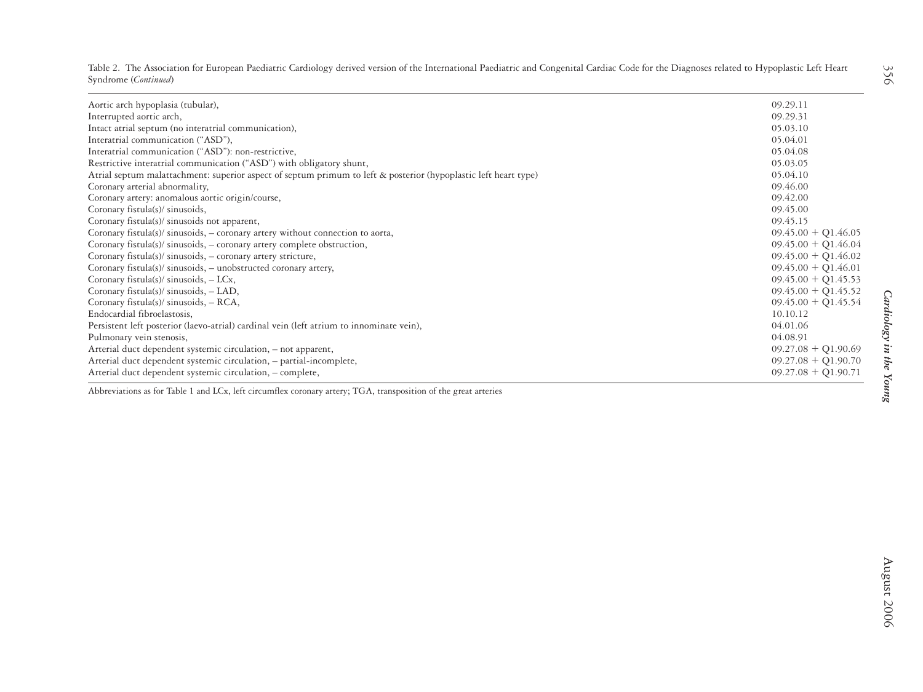|                      | Table 2. The Association for European Paediatric Cardiology derived version of the International Paediatric and Congenital Cardiac Code for the Diagnoses related to Hypoplastic Left Heart |  |  |  |
|----------------------|---------------------------------------------------------------------------------------------------------------------------------------------------------------------------------------------|--|--|--|
| Syndrome (Continued) |                                                                                                                                                                                             |  |  |  |

| Aortic arch hypoplasia (tubular),                                                                               | 09.29.11                |
|-----------------------------------------------------------------------------------------------------------------|-------------------------|
| Interrupted aortic arch,                                                                                        | 09.29.31                |
| Intact atrial septum (no interatrial communication),                                                            | 05.03.10                |
| Interatrial communication ("ASD"),                                                                              | 05.04.01                |
| Interatrial communication ("ASD"): non-restrictive,                                                             | 05.04.08                |
| Restrictive interatrial communication ("ASD") with obligatory shunt,                                            | 05.03.05                |
| Atrial septum malattachment: superior aspect of septum primum to left & posterior (hypoplastic left heart type) | 05.04.10                |
| Coronary arterial abnormality,                                                                                  | 09.46.00                |
| Coronary artery: anomalous aortic origin/course,                                                                | 09.42.00                |
| Coronary fistula(s)/ sinusoids,                                                                                 | 09.45.00                |
| Coronary fistula(s)/ sinusoids not apparent,                                                                    | 09.45.15                |
| Coronary fistula(s)/ sinusoids, - coronary artery without connection to aorta,                                  | $09.45.00 + Q1.46.05$   |
| Coronary fistula(s)/ sinusoids, - coronary artery complete obstruction,                                         | $09.45.00 + Q1.46.04$   |
| Coronary fistula(s)/ sinusoids, - coronary artery stricture,                                                    | $09.45.00 + Q1.46.02$   |
| Coronary fistula(s)/ sinusoids, - unobstructed coronary artery,                                                 | $09.45.00 + Q1.46.01$   |
| Coronary fistula(s)/ sinusoids, - LCx,                                                                          | $09.45.00 + Q1.45.53$   |
| Coronary fistula(s)/ sinusoids, - LAD,                                                                          | $09.45.00 + Q1.45.52$   |
| Coronary fistula(s)/ sinusoids, $- RCA$ ,                                                                       | $09.45.00 + Q1.45.54$   |
| Endocardial fibroelastosis,                                                                                     | 10.10.12                |
| Persistent left posterior (laevo-atrial) cardinal vein (left atrium to innominate vein),                        | 04.01.06                |
| Pulmonary vein stenosis,                                                                                        | 04.08.91                |
| Arterial duct dependent systemic circulation, - not apparent,                                                   | $09.27.08 + Q1.90.69$   |
| Arterial duct dependent systemic circulation, - partial-incomplete,                                             | $09.27.08 + Q1.90.70$   |
| Arterial duct dependent systemic circulation, - complete,                                                       | $09.27.08 + Q1.90.71$   |
| Abbreviations as for Table 1 and LCx, left circumflex coronary artery; TGA, transposition of the great arteries | Cardiology in the Young |
|                                                                                                                 |                         |
|                                                                                                                 |                         |
|                                                                                                                 |                         |
|                                                                                                                 |                         |
|                                                                                                                 |                         |
|                                                                                                                 |                         |
|                                                                                                                 |                         |
|                                                                                                                 |                         |
|                                                                                                                 |                         |
|                                                                                                                 |                         |
|                                                                                                                 | August 2006             |
|                                                                                                                 |                         |
|                                                                                                                 |                         |
|                                                                                                                 |                         |

356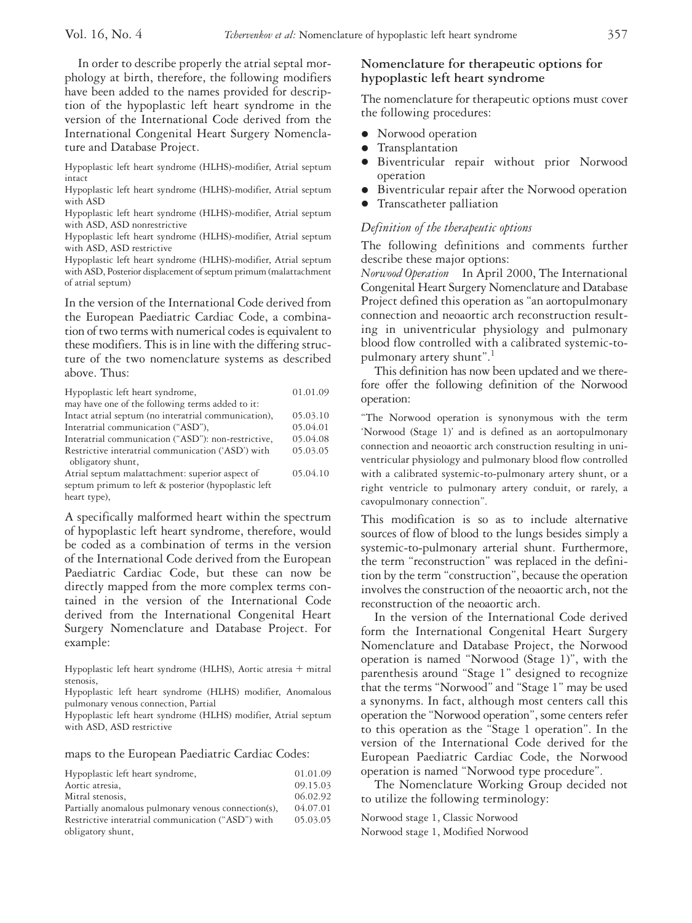## In order to describe properly the atrial septal morphology at birth, therefore, the following modifiers have been added to the names provided for description of the hypoplastic left heart syndrome in the version of the International Code derived from the International Congenital Heart Surgery Nomenclature and Database Project.

Hypoplastic left heart syndrome (HLHS)-modifier, Atrial septum intact

Hypoplastic left heart syndrome (HLHS)-modifier, Atrial septum with ASD

Hypoplastic left heart syndrome (HLHS)-modifier, Atrial septum with ASD, ASD nonrestrictive

Hypoplastic left heart syndrome (HLHS)-modifier, Atrial septum with ASD, ASD restrictive

Hypoplastic left heart syndrome (HLHS)-modifier, Atrial septum with ASD, Posterior displacement of septum primum (malattachment of atrial septum)

In the version of the International Code derived from the European Paediatric Cardiac Code, a combination of two terms with numerical codes is equivalent to these modifiers. This is in line with the differing structure of the two nomenclature systems as described above. Thus:

| Hypoplastic left heart syndrome,<br>may have one of the following terms added to it: | 01.01.09 |
|--------------------------------------------------------------------------------------|----------|
| Intact atrial septum (no interatrial communication),                                 | 05.03.10 |
|                                                                                      | 05.04.01 |
| Interatrial communication ("ASD"),                                                   |          |
| Interatrial communication ("ASD"): non-restrictive,                                  | 05.04.08 |
| Restrictive interatrial communication ('ASD') with<br>obligatory shunt,              | 05.03.05 |
| Atrial septum malattachment: superior aspect of                                      | 05.04.10 |
| septum primum to left & posterior (hypoplastic left                                  |          |
| heart type),                                                                         |          |

A specifically malformed heart within the spectrum of hypoplastic left heart syndrome, therefore, would be coded as a combination of terms in the version of the International Code derived from the European Paediatric Cardiac Code, but these can now be directly mapped from the more complex terms contained in the version of the International Code derived from the International Congenital Heart Surgery Nomenclature and Database Project. For example:

Hypoplastic left heart syndrome (HLHS), Aortic atresia  $+$  mitral stenosis,

Hypoplastic left heart syndrome (HLHS) modifier, Anomalous pulmonary venous connection, Partial

Hypoplastic left heart syndrome (HLHS) modifier, Atrial septum with ASD, ASD restrictive

maps to the European Paediatric Cardiac Codes:

| Hypoplastic left heart syndrome,                    | 01.01.09 |
|-----------------------------------------------------|----------|
| Aortic atresia,                                     | 09.15.03 |
| Mitral stenosis,                                    | 06.02.92 |
| Partially anomalous pulmonary venous connection(s), | 04.07.01 |
| Restrictive interatrial communication ("ASD") with  | 05.03.05 |
| obligatory shunt,                                   |          |

# **Nomenclature for therapeutic options for hypoplastic left heart syndrome**

The nomenclature for therapeutic options must cover the following procedures:

- Norwood operation
- **•** Transplantation
- Biventricular repair without prior Norwood operation
- Biventricular repair after the Norwood operation
- Transcatheter palliation

#### *Definition of the therapeutic options*

The following definitions and comments further describe these major options:

*Norwood Operation* In April 2000, The International Congenital Heart Surgery Nomenclature and Database Project defined this operation as "an aortopulmonary connection and neoaortic arch reconstruction resulting in univentricular physiology and pulmonary blood flow controlled with a calibrated systemic-topulmonary artery shunt".1

This definition has now been updated and we therefore offer the following definition of the Norwood operation:

"The Norwood operation is synonymous with the term 'Norwood (Stage 1)' and is defined as an aortopulmonary connection and neoaortic arch construction resulting in univentricular physiology and pulmonary blood flow controlled with a calibrated systemic-to-pulmonary artery shunt, or a right ventricle to pulmonary artery conduit, or rarely, a cavopulmonary connection".

This modification is so as to include alternative sources of flow of blood to the lungs besides simply a systemic-to-pulmonary arterial shunt. Furthermore, the term "reconstruction" was replaced in the definition by the term "construction", because the operation involves the construction of the neoaortic arch, not the reconstruction of the neoaortic arch.

In the version of the International Code derived form the International Congenital Heart Surgery Nomenclature and Database Project, the Norwood operation is named "Norwood (Stage 1)", with the parenthesis around "Stage 1" designed to recognize that the terms "Norwood" and "Stage 1" may be used a synonyms. In fact, although most centers call this operation the "Norwood operation", some centers refer to this operation as the "Stage 1 operation". In the version of the International Code derived for the European Paediatric Cardiac Code, the Norwood operation is named "Norwood type procedure".

The Nomenclature Working Group decided not to utilize the following terminology:

Norwood stage 1, Classic Norwood

Norwood stage 1, Modified Norwood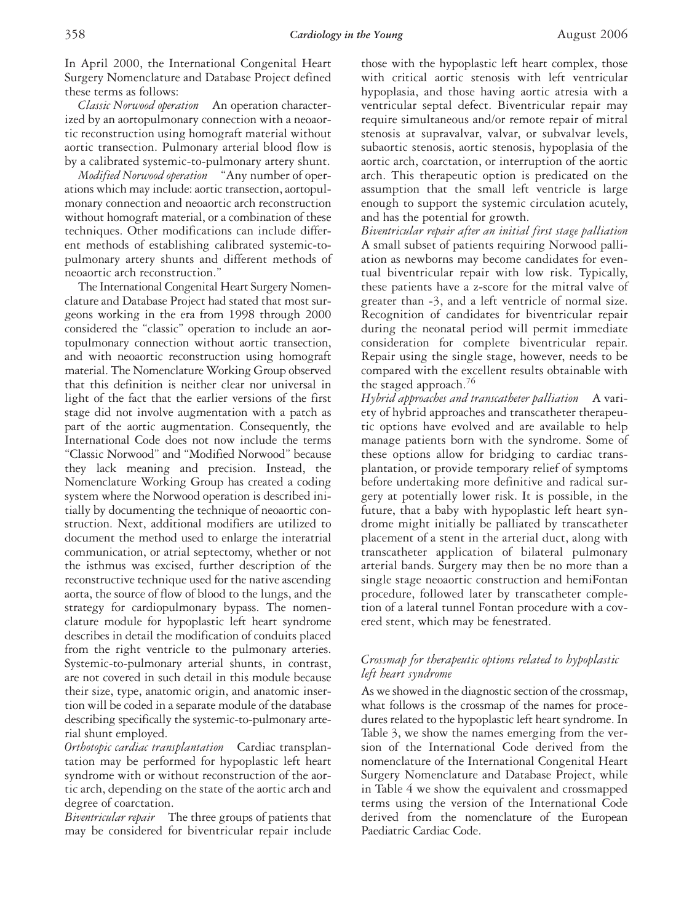In April 2000, the International Congenital Heart Surgery Nomenclature and Database Project defined these terms as follows:

*Classic Norwood operation* An operation characterized by an aortopulmonary connection with a neoaortic reconstruction using homograft material without aortic transection. Pulmonary arterial blood flow is by a calibrated systemic-to-pulmonary artery shunt.

*Modified Norwood operation* "Any number of operations which may include: aortic transection, aortopulmonary connection and neoaortic arch reconstruction without homograft material, or a combination of these techniques. Other modifications can include different methods of establishing calibrated systemic-topulmonary artery shunts and different methods of neoaortic arch reconstruction."

The International Congenital Heart Surgery Nomenclature and Database Project had stated that most surgeons working in the era from 1998 through 2000 considered the "classic" operation to include an aortopulmonary connection without aortic transection, and with neoaortic reconstruction using homograft material. The Nomenclature Working Group observed that this definition is neither clear nor universal in light of the fact that the earlier versions of the first stage did not involve augmentation with a patch as part of the aortic augmentation. Consequently, the International Code does not now include the terms "Classic Norwood" and "Modified Norwood" because they lack meaning and precision. Instead, the Nomenclature Working Group has created a coding system where the Norwood operation is described initially by documenting the technique of neoaortic construction. Next, additional modifiers are utilized to document the method used to enlarge the interatrial communication, or atrial septectomy, whether or not the isthmus was excised, further description of the reconstructive technique used for the native ascending aorta, the source of flow of blood to the lungs, and the strategy for cardiopulmonary bypass. The nomenclature module for hypoplastic left heart syndrome describes in detail the modification of conduits placed from the right ventricle to the pulmonary arteries. Systemic-to-pulmonary arterial shunts, in contrast, are not covered in such detail in this module because their size, type, anatomic origin, and anatomic insertion will be coded in a separate module of the database describing specifically the systemic-to-pulmonary arterial shunt employed.

*Orthotopic cardiac transplantation* Cardiac transplantation may be performed for hypoplastic left heart syndrome with or without reconstruction of the aortic arch, depending on the state of the aortic arch and degree of coarctation.

*Biventricular repair* The three groups of patients that may be considered for biventricular repair include

those with the hypoplastic left heart complex, those with critical aortic stenosis with left ventricular hypoplasia, and those having aortic atresia with a ventricular septal defect. Biventricular repair may require simultaneous and/or remote repair of mitral stenosis at supravalvar, valvar, or subvalvar levels, subaortic stenosis, aortic stenosis, hypoplasia of the aortic arch, coarctation, or interruption of the aortic arch. This therapeutic option is predicated on the assumption that the small left ventricle is large enough to support the systemic circulation acutely, and has the potential for growth.

*Biventricular repair after an initial first stage palliation* A small subset of patients requiring Norwood palliation as newborns may become candidates for eventual biventricular repair with low risk. Typically, these patients have a z-score for the mitral valve of greater than -3, and a left ventricle of normal size. Recognition of candidates for biventricular repair during the neonatal period will permit immediate consideration for complete biventricular repair. Repair using the single stage, however, needs to be compared with the excellent results obtainable with the staged approach.<sup>76</sup>

*Hybrid approaches and transcatheter palliation* A variety of hybrid approaches and transcatheter therapeutic options have evolved and are available to help manage patients born with the syndrome. Some of these options allow for bridging to cardiac transplantation, or provide temporary relief of symptoms before undertaking more definitive and radical surgery at potentially lower risk. It is possible, in the future, that a baby with hypoplastic left heart syndrome might initially be palliated by transcatheter placement of a stent in the arterial duct, along with transcatheter application of bilateral pulmonary arterial bands. Surgery may then be no more than a single stage neoaortic construction and hemiFontan procedure, followed later by transcatheter completion of a lateral tunnel Fontan procedure with a covered stent, which may be fenestrated.

# *Crossmap for therapeutic options related to hypoplastic left heart syndrome*

As we showed in the diagnostic section of the crossmap, what follows is the crossmap of the names for procedures related to the hypoplastic left heart syndrome. In Table 3, we show the names emerging from the version of the International Code derived from the nomenclature of the International Congenital Heart Surgery Nomenclature and Database Project, while in Table 4 we show the equivalent and crossmapped terms using the version of the International Code derived from the nomenclature of the European Paediatric Cardiac Code.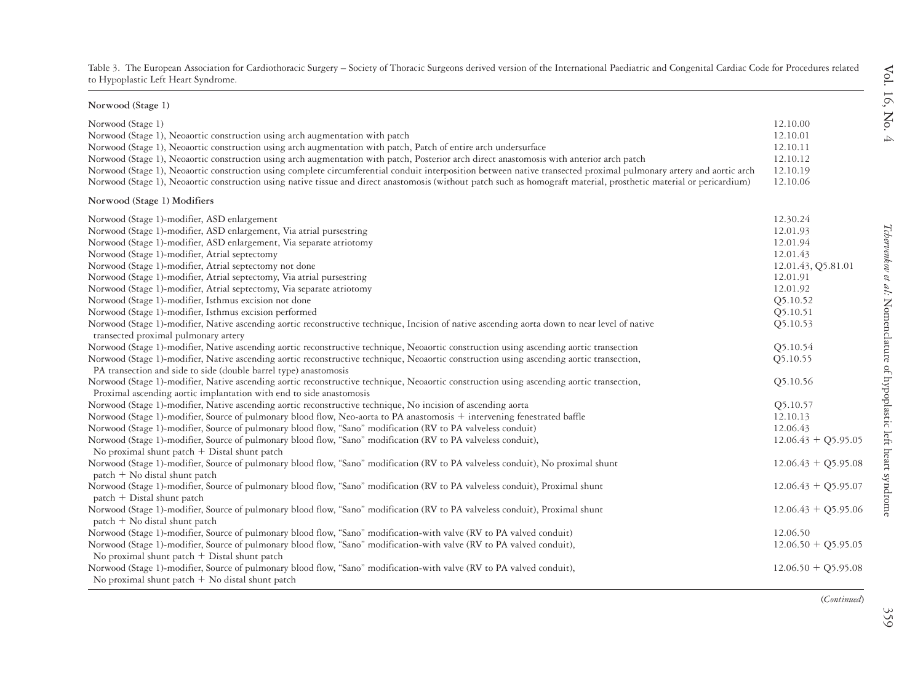| Norwood (Stage 1)                                                                                                                                                                     |                       |
|---------------------------------------------------------------------------------------------------------------------------------------------------------------------------------------|-----------------------|
| Norwood (Stage 1)                                                                                                                                                                     | 12.10.00              |
| Norwood (Stage 1), Neoaortic construction using arch augmentation with patch                                                                                                          | 12.10.01              |
| Norwood (Stage 1), Neoaortic construction using arch augmentation with patch, Patch of entire arch undersurface                                                                       | 12.10.11              |
| Norwood (Stage 1), Neoaortic construction using arch augmentation with patch, Posterior arch direct anastomosis with anterior arch patch                                              | 12.10.12              |
| Norwood (Stage 1), Neoaortic construction using complete circumferential conduit interposition between native transected proximal pulmonary artery and aortic arch                    | 12.10.19              |
| Norwood (Stage 1), Neoaortic construction using native tissue and direct anastomosis (without patch such as homograft material, prosthetic material or pericardium)                   | 12.10.06              |
| Norwood (Stage 1) Modifiers                                                                                                                                                           |                       |
| Norwood (Stage 1)-modifier, ASD enlargement                                                                                                                                           | 12.30.24              |
| Norwood (Stage 1)-modifier, ASD enlargement, Via atrial pursestring                                                                                                                   | 12.01.93              |
| Norwood (Stage 1)-modifier, ASD enlargement, Via separate atriotomy                                                                                                                   | 12.01.94              |
| Norwood (Stage 1)-modifier, Atrial septectomy                                                                                                                                         | 12.01.43              |
| Norwood (Stage 1)-modifier, Atrial septectomy not done                                                                                                                                | 12.01.43, Q5.81.01    |
| Norwood (Stage 1)-modifier, Atrial septectomy, Via atrial pursestring                                                                                                                 | 12.01.91              |
| Norwood (Stage 1)-modifier, Atrial septectomy, Via separate atriotomy                                                                                                                 | 12.01.92              |
| Norwood (Stage 1)-modifier, Isthmus excision not done                                                                                                                                 | Q5.10.52              |
| Norwood (Stage 1)-modifier, Isthmus excision performed                                                                                                                                | Q5.10.51              |
| Norwood (Stage 1)-modifier, Native ascending aortic reconstructive technique, Incision of native ascending aorta down to near level of native<br>transected proximal pulmonary artery | Q5.10.53              |
| Norwood (Stage 1)-modifier, Native ascending aortic reconstructive technique, Neoaortic construction using ascending aortic transection                                               | O <sub>5</sub> .10.54 |
| Norwood (Stage 1)-modifier, Native ascending aortic reconstructive technique, Neoaortic construction using ascending aortic transection,                                              | Q5.10.55              |
| PA transection and side to side (double barrel type) anastomosis                                                                                                                      |                       |
| Norwood (Stage 1)-modifier, Native ascending aortic reconstructive technique, Neoaortic construction using ascending aortic transection,                                              | Q5.10.56              |
| Proximal ascending aortic implantation with end to side anastomosis                                                                                                                   |                       |
| Norwood (Stage 1)-modifier, Native ascending aortic reconstructive technique, No incision of ascending aorta                                                                          | Q5.10.57              |
| Norwood (Stage 1)-modifier, Source of pulmonary blood flow, Neo-aorta to PA anastomosis + intervening fenestrated baffle                                                              | 12.10.13              |
| Norwood (Stage 1)-modifier, Source of pulmonary blood flow, "Sano" modification (RV to PA valveless conduit)                                                                          | 12.06.43              |
| Norwood (Stage 1)-modifier, Source of pulmonary blood flow, "Sano" modification (RV to PA valveless conduit),                                                                         | $12.06.43 + Q5.95.05$ |
| No proximal shunt patch + Distal shunt patch                                                                                                                                          |                       |
| Norwood (Stage 1)-modifier, Source of pulmonary blood flow, "Sano" modification (RV to PA valveless conduit), No proximal shunt<br>patch + No distal shunt patch                      | $12.06.43 + Q5.95.08$ |
| Norwood (Stage 1)-modifier, Source of pulmonary blood flow, "Sano" modification (RV to PA valveless conduit), Proximal shunt<br>patch + Distal shunt patch                            | $12.06.43 + Q5.95.07$ |
| Norwood (Stage 1)-modifier, Source of pulmonary blood flow, "Sano" modification (RV to PA valveless conduit), Proximal shunt<br>$patch + No distal shunt patch$                       | $12.06.43 + Q5.95.06$ |
| Norwood (Stage 1)-modifier, Source of pulmonary blood flow, "Sano" modification-with valve (RV to PA valved conduit)                                                                  | 12.06.50              |
| Norwood (Stage 1)-modifier, Source of pulmonary blood flow, "Sano" modification-with valve (RV to PA valved conduit),                                                                 | $12.06.50 + Q5.95.05$ |
| No proximal shunt patch $+$ Distal shunt patch                                                                                                                                        |                       |
| Norwood (Stage 1)-modifier, Source of pulmonary blood flow, "Sano" modification-with valve (RV to PA valved conduit),                                                                 | $12.06.50 + Q5.95.08$ |
| No proximal shunt patch $+$ No distal shunt patch                                                                                                                                     |                       |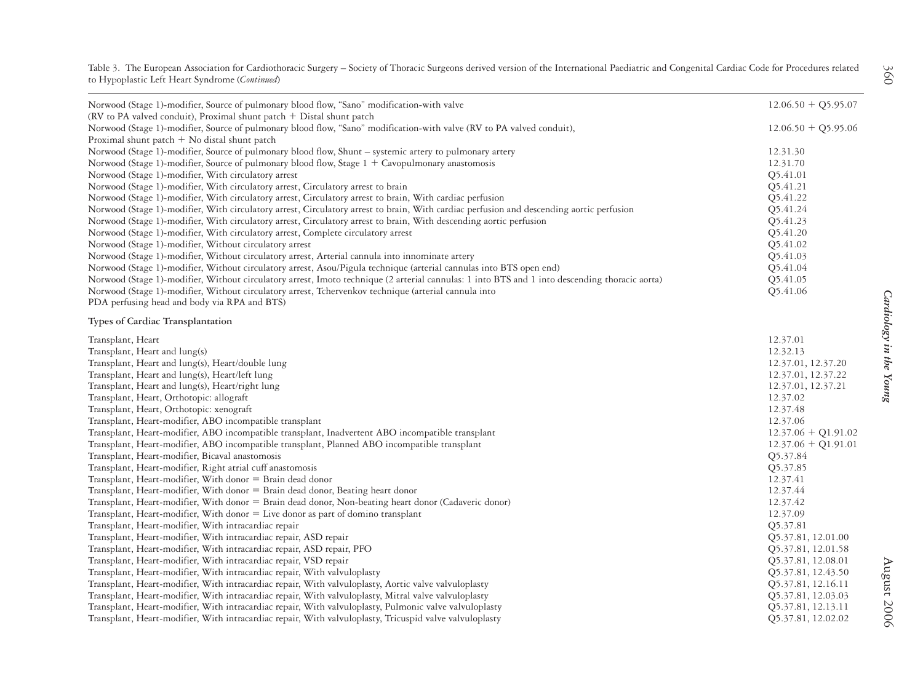Table 3. The European Association for Cardiothoracic Surgery – Society of Thoracic Surgeons derived version of the International Paediatric and Congenital Cardiac Code for Procedures related to Hypoplastic Left Heart Syndrome (*Continued*)

| Norwood (Stage 1)-modifier, Source of pulmonary blood flow, "Sano" modification-with valve                                                     | $12.06.50 + Q5.95.07$ |
|------------------------------------------------------------------------------------------------------------------------------------------------|-----------------------|
| (RV to PA valved conduit), Proximal shunt patch + Distal shunt patch                                                                           |                       |
| Norwood (Stage 1)-modifier, Source of pulmonary blood flow, "Sano" modification-with valve (RV to PA valved conduit),                          | $12.06.50 + Q5.95.06$ |
| Proximal shunt patch $+$ No distal shunt patch                                                                                                 |                       |
| Norwood (Stage 1)-modifier, Source of pulmonary blood flow, Shunt - systemic artery to pulmonary artery                                        | 12.31.30              |
| Norwood (Stage 1)-modifier, Source of pulmonary blood flow, Stage 1 + Cavopulmonary anastomosis                                                | 12.31.70              |
| Norwood (Stage 1)-modifier, With circulatory arrest                                                                                            | Q5.41.01              |
| Norwood (Stage 1)-modifier, With circulatory arrest, Circulatory arrest to brain                                                               | Q5.41.21              |
| Norwood (Stage 1)-modifier, With circulatory arrest, Circulatory arrest to brain, With cardiac perfusion                                       | Q5.41.22              |
| Norwood (Stage 1)-modifier, With circulatory arrest, Circulatory arrest to brain, With cardiac perfusion and descending aortic perfusion       | Q5.41.24              |
| Norwood (Stage 1)-modifier, With circulatory arrest, Circulatory arrest to brain, With descending aortic perfusion                             | Q5.41.23              |
| Norwood (Stage 1)-modifier, With circulatory arrest, Complete circulatory arrest                                                               | Q5.41.20              |
| Norwood (Stage 1)-modifier, Without circulatory arrest                                                                                         | Q5.41.02              |
| Norwood (Stage 1)-modifier, Without circulatory arrest, Arterial cannula into innominate artery                                                | Q5.41.03              |
| Norwood (Stage 1)-modifier, Without circulatory arrest, Asou/Pigula technique (arterial cannulas into BTS open end)                            | Q5.41.04              |
| Norwood (Stage 1)-modifier, Without circulatory arrest, Imoto technique (2 arterial cannulas: 1 into BTS and 1 into descending thoracic aorta) | Q5.41.05              |
| Norwood (Stage 1)-modifier, Without circulatory arrest, Tchervenkov technique (arterial cannula into                                           | Q5.41.06              |
| PDA perfusing head and body via RPA and BTS)                                                                                                   |                       |
| <b>Types of Cardiac Transplantation</b>                                                                                                        |                       |
| Transplant, Heart                                                                                                                              | 12.37.01              |
| Transplant, Heart and lung(s)                                                                                                                  | 12.32.13              |
| Transplant, Heart and lung(s), Heart/double lung                                                                                               | 12.37.01, 12.37.20    |
| Transplant, Heart and lung(s), Heart/left lung                                                                                                 | 12.37.01, 12.37.22    |
| Transplant, Heart and lung(s), Heart/right lung                                                                                                | 12.37.01, 12.37.21    |
| Transplant, Heart, Orthotopic: allograft                                                                                                       | 12.37.02              |
| Transplant, Heart, Orthotopic: xenograft                                                                                                       | 12.37.48              |
| Transplant, Heart-modifier, ABO incompatible transplant                                                                                        | 12.37.06              |
| Transplant, Heart-modifier, ABO incompatible transplant, Inadvertent ABO incompatible transplant                                               | $12.37.06 + Q1.91.02$ |
| Transplant, Heart-modifier, ABO incompatible transplant, Planned ABO incompatible transplant                                                   | $12.37.06 + Q1.91.01$ |
| Transplant, Heart-modifier, Bicaval anastomosis                                                                                                | Q5.37.84              |
| Transplant, Heart-modifier, Right atrial cuff anastomosis                                                                                      | Q5.37.85              |
| Transplant, Heart-modifier, With donor = Brain dead donor                                                                                      | 12.37.41              |
| Transplant, Heart-modifier, With donor = Brain dead donor, Beating heart donor                                                                 | 12.37.44              |
| Transplant, Heart-modifier, With donor = Brain dead donor, Non-beating heart donor (Cadaveric donor)                                           | 12.37.42              |
| Transplant, Heart-modifier, With donor = Live donor as part of domino transplant                                                               | 12.37.09              |
| Transplant, Heart-modifier, With intracardiac repair                                                                                           | Q5.37.81              |
| Transplant, Heart-modifier, With intracardiac repair, ASD repair                                                                               | Q5.37.81, 12.01.00    |
| Transplant, Heart-modifier, With intracardiac repair, ASD repair, PFO                                                                          | Q5.37.81, 12.01.58    |
| Transplant, Heart-modifier, With intracardiac repair, VSD repair                                                                               | Q5.37.81, 12.08.01    |
| Transplant, Heart-modifier, With intracardiac repair, With valvuloplasty                                                                       | Q5.37.81, 12.43.50    |
| Transplant, Heart-modifier, With intracardiac repair, With valvuloplasty, Aortic valve valvuloplasty                                           | Q5.37.81, 12.16.11    |
| Transplant, Heart-modifier, With intracardiac repair, With valvuloplasty, Mitral valve valvuloplasty                                           | Q5.37.81, 12.03.03    |
| Transplant, Heart-modifier, With intracardiac repair, With valvuloplasty, Pulmonic valve valvuloplasty                                         | Q5.37.81, 12.13.11    |
| Transplant, Heart-modifier, With intracardiac repair, With valvuloplasty, Tricuspid valve valvuloplasty                                        | Q5.37.81, 12.02.02    |

Cardiology in the Young *Cardiology in the Young*

360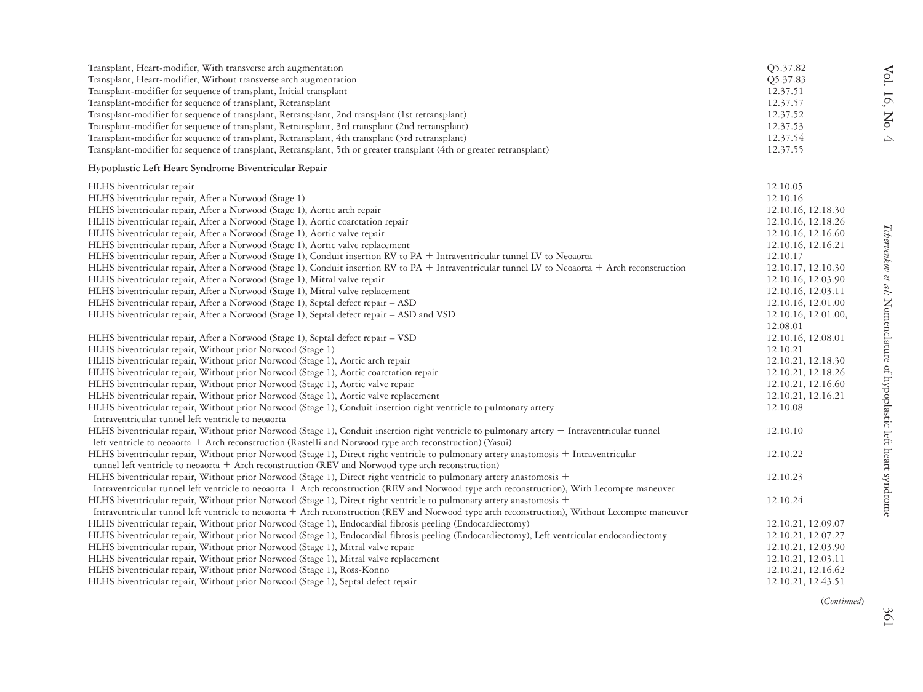| Transplant, Heart-modifier, With transverse arch augmentation<br>Transplant, Heart-modifier, Without transverse arch augmentation<br>Transplant-modifier for sequence of transplant, Initial transplant<br>Transplant-modifier for sequence of transplant, Retransplant<br>Transplant-modifier for sequence of transplant, Retransplant, 2nd transplant (1st retransplant)<br>Transplant-modifier for sequence of transplant, Retransplant, 3rd transplant (2nd retransplant)<br>Transplant-modifier for sequence of transplant, Retransplant, 4th transplant (3rd retransplant)<br>Transplant-modifier for sequence of transplant, Retransplant, 5th or greater transplant (4th or greater retransplant)                                                                                                                                                                                                                                          | Q5.37.82<br>Q5.37.83<br>12.37.51<br>12.37.57<br>12.37.52<br>12.37.53<br>12.37.54<br>12.37.55                                                                                                                     |
|----------------------------------------------------------------------------------------------------------------------------------------------------------------------------------------------------------------------------------------------------------------------------------------------------------------------------------------------------------------------------------------------------------------------------------------------------------------------------------------------------------------------------------------------------------------------------------------------------------------------------------------------------------------------------------------------------------------------------------------------------------------------------------------------------------------------------------------------------------------------------------------------------------------------------------------------------|------------------------------------------------------------------------------------------------------------------------------------------------------------------------------------------------------------------|
| Hypoplastic Left Heart Syndrome Biventricular Repair                                                                                                                                                                                                                                                                                                                                                                                                                                                                                                                                                                                                                                                                                                                                                                                                                                                                                               |                                                                                                                                                                                                                  |
| HLHS biventricular repair<br>HLHS biventricular repair, After a Norwood (Stage 1)<br>HLHS biventricular repair, After a Norwood (Stage 1), Aortic arch repair<br>HLHS biventricular repair, After a Norwood (Stage 1), Aortic coarctation repair<br>HLHS biventricular repair, After a Norwood (Stage 1), Aortic valve repair<br>HLHS biventricular repair, After a Norwood (Stage 1), Aortic valve replacement<br>HLHS biventricular repair, After a Norwood (Stage 1), Conduit insertion RV to PA + Intraventricular tunnel LV to Neoaorta<br>HLHS biventricular repair, After a Norwood (Stage 1), Conduit insertion RV to PA + Intraventricular tunnel LV to Neoaorta + Arch reconstruction<br>HLHS biventricular repair, After a Norwood (Stage 1), Mitral valve repair<br>HLHS biventricular repair, After a Norwood (Stage 1), Mitral valve replacement<br>HLHS biventricular repair, After a Norwood (Stage 1), Septal defect repair - ASD | 12.10.05<br>12.10.16<br>12.10.16, 12.18.30<br>12.10.16, 12.18.26<br>12.10.16, 12.16.60<br>12.10.16, 12.16.21<br>12.10.17<br>12.10.17, 12.10.30<br>12.10.16, 12.03.90<br>12.10.16, 12.03.11<br>12.10.16, 12.01.00 |
| HLHS biventricular repair, After a Norwood (Stage 1), Septal defect repair - ASD and VSD                                                                                                                                                                                                                                                                                                                                                                                                                                                                                                                                                                                                                                                                                                                                                                                                                                                           | 12.10.16, 12.01.00,<br>12.08.01                                                                                                                                                                                  |
| HLHS biventricular repair, After a Norwood (Stage 1), Septal defect repair - VSD<br>HLHS biventricular repair, Without prior Norwood (Stage 1)<br>HLHS biventricular repair, Without prior Norwood (Stage 1), Aortic arch repair<br>HLHS biventricular repair, Without prior Norwood (Stage 1), Aortic coarctation repair<br>HLHS biventricular repair, Without prior Norwood (Stage 1), Aortic valve repair<br>HLHS biventricular repair, Without prior Norwood (Stage 1), Aortic valve replacement<br>HLHS biventricular repair, Without prior Norwood (Stage 1), Conduit insertion right ventricle to pulmonary artery +<br>Intraventricular tunnel left ventricle to neoaorta                                                                                                                                                                                                                                                                  | 12.10.16, 12.08.01<br>12.10.21<br>12.10.21, 12.18.30<br>12.10.21, 12.18.26<br>12.10.21, 12.16.60<br>12.10.21, 12.16.21<br>12.10.08                                                                               |
| HLHS biventricular repair, Without prior Norwood (Stage 1), Conduit insertion right ventricle to pulmonary artery + Intraventricular tunnel<br>left ventricle to neoaorta + Arch reconstruction (Rastelli and Norwood type arch reconstruction) (Yasui)                                                                                                                                                                                                                                                                                                                                                                                                                                                                                                                                                                                                                                                                                            | 12.10.10                                                                                                                                                                                                         |
| HLHS biventricular repair, Without prior Norwood (Stage 1), Direct right ventricle to pulmonary artery anastomosis + Intraventricular<br>tunnel left ventricle to neoaorta + Arch reconstruction (REV and Norwood type arch reconstruction)<br>HLHS biventricular repair, Without prior Norwood (Stage 1), Direct right ventricle to pulmonary artery anastomosis +                                                                                                                                                                                                                                                                                                                                                                                                                                                                                                                                                                                | 12.10.22<br>12.10.23                                                                                                                                                                                             |
| Intraventricular tunnel left ventricle to neoaorta + Arch reconstruction (REV and Norwood type arch reconstruction), With Lecompte maneuver<br>HLHS biventricular repair, Without prior Norwood (Stage 1), Direct right ventricle to pulmonary artery anastomosis +                                                                                                                                                                                                                                                                                                                                                                                                                                                                                                                                                                                                                                                                                | 12.10.24                                                                                                                                                                                                         |
| Intraventricular tunnel left ventricle to neoaorta + Arch reconstruction (REV and Norwood type arch reconstruction), Without Lecompte maneuver<br>HLHS biventricular repair, Without prior Norwood (Stage 1), Endocardial fibrosis peeling (Endocardiectomy)<br>HLHS biventricular repair, Without prior Norwood (Stage 1), Endocardial fibrosis peeling (Endocardiectomy), Left ventricular endocardiectomy<br>HLHS biventricular repair, Without prior Norwood (Stage 1), Mitral valve repair<br>HLHS biventricular repair, Without prior Norwood (Stage 1), Mitral valve replacement<br>HLHS biventricular repair, Without prior Norwood (Stage 1), Ross-Konno<br>HLHS biventricular repair, Without prior Norwood (Stage 1), Septal defect repair                                                                                                                                                                                              | 12.10.21, 12.09.07<br>12.10.21, 12.07.27<br>12.10.21, 12.03.90<br>12.10.21, 12.03.11<br>12.10.21, 12.16.62<br>12.10.21, 12.43.51                                                                                 |

Vol. 16, No. 4

Vol. 16, No. 4

(*Continued*)

361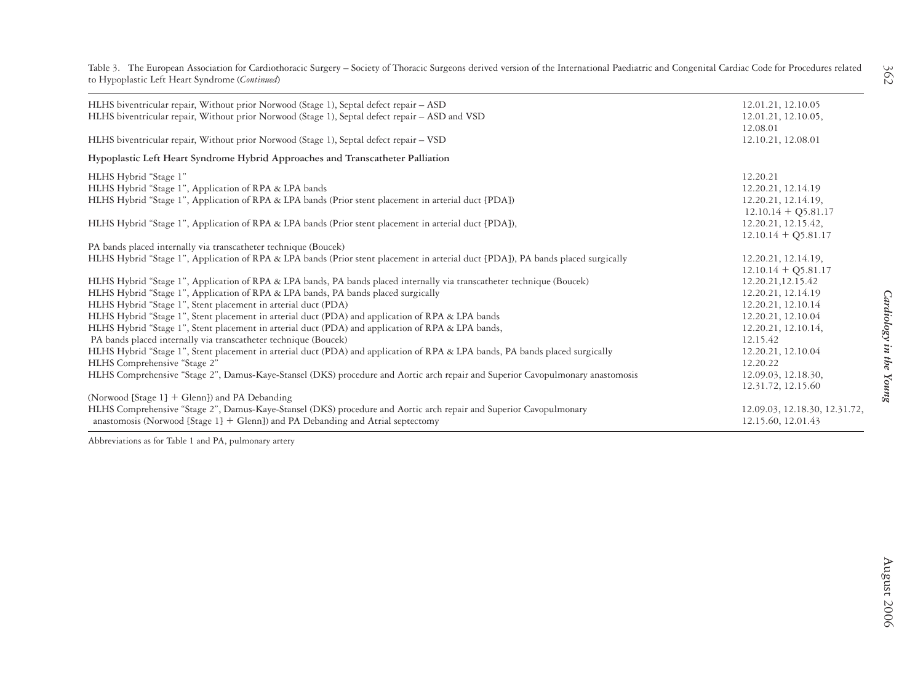Table 3. The European Association for Cardiothoracic Surgery – Society of Thoracic Surgeons derived version of the International Paediatric and Congenital Cardiac Code for Procedures related to Hypoplastic Left Heart Syndrome (*Continued*)

| HLHS biventricular repair, Without prior Norwood (Stage 1), Septal defect repair - ASD<br>HLHS biventricular repair, Without prior Norwood (Stage 1), Septal defect repair - ASD and VSD | 12.01.21, 12.10.05<br>12.01.21, 12.10.05,<br>12.08.01 |
|------------------------------------------------------------------------------------------------------------------------------------------------------------------------------------------|-------------------------------------------------------|
| HLHS biventricular repair, Without prior Norwood (Stage 1), Septal defect repair – VSD                                                                                                   | 12.10.21, 12.08.01                                    |
| Hypoplastic Left Heart Syndrome Hybrid Approaches and Transcatheter Palliation                                                                                                           |                                                       |
| HLHS Hybrid "Stage 1"                                                                                                                                                                    | 12.20.21                                              |
| HLHS Hybrid "Stage 1", Application of RPA & LPA bands                                                                                                                                    | 12.20.21, 12.14.19                                    |
| HLHS Hybrid "Stage 1", Application of RPA & LPA bands (Prior stent placement in arterial duct [PDA])                                                                                     | 12.20.21, 12.14.19,                                   |
|                                                                                                                                                                                          | $12.10.14 + Q5.81.17$                                 |
| HLHS Hybrid "Stage 1", Application of RPA & LPA bands (Prior stent placement in arterial duct [PDA]),                                                                                    | 12.20.21, 12.15.42,                                   |
|                                                                                                                                                                                          | $12.10.14 + Q5.81.17$                                 |
| PA bands placed internally via transcatheter technique (Boucek)                                                                                                                          |                                                       |
| HLHS Hybrid "Stage 1", Application of RPA & LPA bands (Prior stent placement in arterial duct [PDA]), PA bands placed surgically                                                         | 12.20.21, 12.14.19,                                   |
|                                                                                                                                                                                          | $12.10.14 + Q5.81.17$                                 |
| HLHS Hybrid "Stage 1", Application of RPA & LPA bands, PA bands placed internally via transcatheter technique (Boucek)                                                                   | 12.20.21,12.15.42                                     |
| HLHS Hybrid "Stage 1", Application of RPA & LPA bands, PA bands placed surgically                                                                                                        | 12.20.21, 12.14.19                                    |
| HLHS Hybrid "Stage 1", Stent placement in arterial duct (PDA)                                                                                                                            | 12.20.21, 12.10.14                                    |
| HLHS Hybrid "Stage 1", Stent placement in arterial duct (PDA) and application of RPA & LPA bands                                                                                         | 12.20.21, 12.10.04                                    |
| HLHS Hybrid "Stage 1", Stent placement in arterial duct (PDA) and application of RPA & LPA bands,                                                                                        | 12.20.21, 12.10.14,                                   |
| PA bands placed internally via transcatheter technique (Boucek)                                                                                                                          | 12.15.42                                              |
| HLHS Hybrid "Stage 1", Stent placement in arterial duct (PDA) and application of RPA & LPA bands, PA bands placed surgically                                                             | 12.20.21, 12.10.04                                    |
| HLHS Comprehensive "Stage 2"                                                                                                                                                             | 12.20.22                                              |
| HLHS Comprehensive "Stage 2", Damus-Kaye-Stansel (DKS) procedure and Aortic arch repair and Superior Cavopulmonary anastomosis                                                           | 12.09.03, 12.18.30,                                   |
|                                                                                                                                                                                          | 12.31.72, 12.15.60                                    |
| (Norwood [Stage $1$ ] + Glenn]) and PA Debanding                                                                                                                                         |                                                       |
| HLHS Comprehensive "Stage 2", Damus-Kaye-Stansel (DKS) procedure and Aortic arch repair and Superior Cavopulmonary                                                                       | 12.09.03, 12.18.30, 12.31.72,                         |
| anastomosis (Norwood [Stage $1$ ] + Glenn]) and PA Debanding and Atrial septectomy                                                                                                       | 12.15.60, 12.01.43                                    |

Abbreviations as for Table 1 and PA, pulmonary artery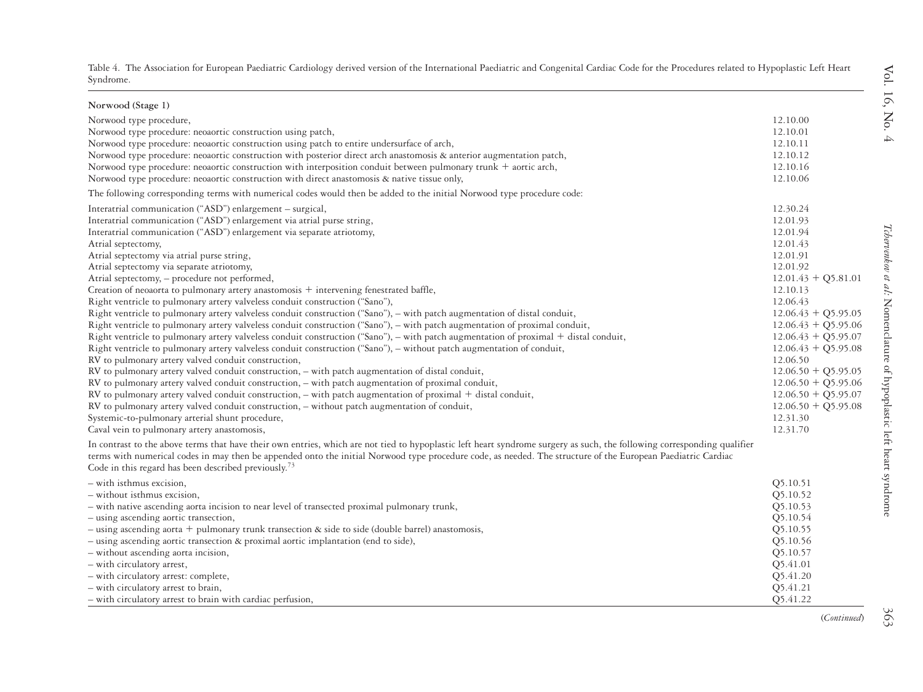| ble 4. The Association for European Paediatric Cardiology derived version of the International Paediatric and Congenital Cardiac Code for the Procedures related to Hypoplastic Left Hear |  |
|-------------------------------------------------------------------------------------------------------------------------------------------------------------------------------------------|--|
| ndrome-                                                                                                                                                                                   |  |

| Norwood (Stage 1)                                                                                                                                                        |                       |
|--------------------------------------------------------------------------------------------------------------------------------------------------------------------------|-----------------------|
| Norwood type procedure,                                                                                                                                                  | 12.10.00              |
| Norwood type procedure: neoaortic construction using patch,                                                                                                              | 12.10.01              |
| Norwood type procedure: neoaortic construction using patch to entire undersurface of arch,                                                                               | 12.10.11              |
| Norwood type procedure: neoaortic construction with posterior direct arch anastomosis & anterior augmentation patch,                                                     | 12.10.12              |
| Norwood type procedure: neoaortic construction with interposition conduit between pulmonary trunk $+$ aortic arch,                                                       | 12.10.16              |
| Norwood type procedure: neoaortic construction with direct anastomosis & native tissue only,                                                                             | 12.10.06              |
| The following corresponding terms with numerical codes would then be added to the initial Norwood type procedure code:                                                   |                       |
| Interatrial communication ("ASD") enlargement – surgical,                                                                                                                | 12.30.24              |
| Interatrial communication ("ASD") enlargement via atrial purse string,                                                                                                   | 12.01.93              |
| Interatrial communication ("ASD") enlargement via separate atriotomy,                                                                                                    | 12.01.94              |
| Atrial septectomy,                                                                                                                                                       | 12.01.43              |
| Atrial septectomy via atrial purse string,                                                                                                                               | 12.01.91              |
| Atrial septectomy via separate atriotomy,                                                                                                                                | 12.01.92              |
| Atrial septectomy, - procedure not performed,                                                                                                                            | $12.01.43 + Q5.81.01$ |
| Creation of neoaorta to pulmonary artery anastomosis + intervening fenestrated baffle,                                                                                   | 12.10.13              |
| Right ventricle to pulmonary artery valveless conduit construction ("Sano"),                                                                                             | 12.06.43              |
| Right ventricle to pulmonary artery valveless conduit construction ("Sano"), - with patch augmentation of distal conduit,                                                | $12.06.43 + Q5.95.05$ |
| Right ventricle to pulmonary artery valveless conduit construction ("Sano"), – with patch augmentation of proximal conduit,                                              | $12.06.43 + Q5.95.06$ |
| Right ventricle to pulmonary artery valveless conduit construction ("Sano"), – with patch augmentation of proximal $+$ distal conduit,                                   | $12.06.43 + Q5.95.07$ |
| Right ventricle to pulmonary artery valveless conduit construction ("Sano"), - without patch augmentation of conduit,                                                    | $12.06.43 + Q5.95.08$ |
| RV to pulmonary artery valved conduit construction,                                                                                                                      | 12.06.50              |
| RV to pulmonary artery valved conduit construction, - with patch augmentation of distal conduit,                                                                         | $12.06.50 + Q5.95.05$ |
| RV to pulmonary artery valved conduit construction, - with patch augmentation of proximal conduit,                                                                       | $12.06.50 + Q5.95.06$ |
| RV to pulmonary artery valved conduit construction, - with patch augmentation of proximal + distal conduit,                                                              | $12.06.50 + Q5.95.07$ |
| RV to pulmonary artery valved conduit construction, - without patch augmentation of conduit,                                                                             | $12.06.50 + Q5.95.08$ |
| Systemic-to-pulmonary arterial shunt procedure,                                                                                                                          | 12.31.30              |
| Caval vein to pulmonary artery anastomosis,                                                                                                                              | 12.31.70              |
| In contrast to the above terms that have their own entries, which are not tied to hypoplastic left heart syndrome surgery as such, the following corresponding qualifier |                       |
| terms with numerical codes in may then be appended onto the initial Norwood type procedure code, as needed. The structure of the European Paediatric Cardiac             |                       |
| Code in this regard has been described previously. <sup>13</sup>                                                                                                         |                       |
| - with isthmus excision,                                                                                                                                                 | Q5.10.51              |
| - without isthmus excision,                                                                                                                                              | Q5.10.52              |
| - with native ascending aorta incision to near level of transected proximal pulmonary trunk,                                                                             | Q5.10.53              |
| - using ascending aortic transection,                                                                                                                                    | Q5.10.54              |
| - using ascending aorta + pulmonary trunk transection & side to side (double barrel) anastomosis,                                                                        | Q5.10.55              |
| - using ascending aortic transection & proximal aortic implantation (end to side),                                                                                       | Q5.10.56              |
| - without ascending aorta incision,                                                                                                                                      | Q5.10.57              |
| - with circulatory arrest,                                                                                                                                               | Q5.41.01              |
| - with circulatory arrest: complete,                                                                                                                                     | Q5.41.20              |
| - with circulatory arrest to brain,                                                                                                                                      | Q5.41.21              |
| - with circulatory arrest to brain with cardiac perfusion,                                                                                                               | Q5.41.22              |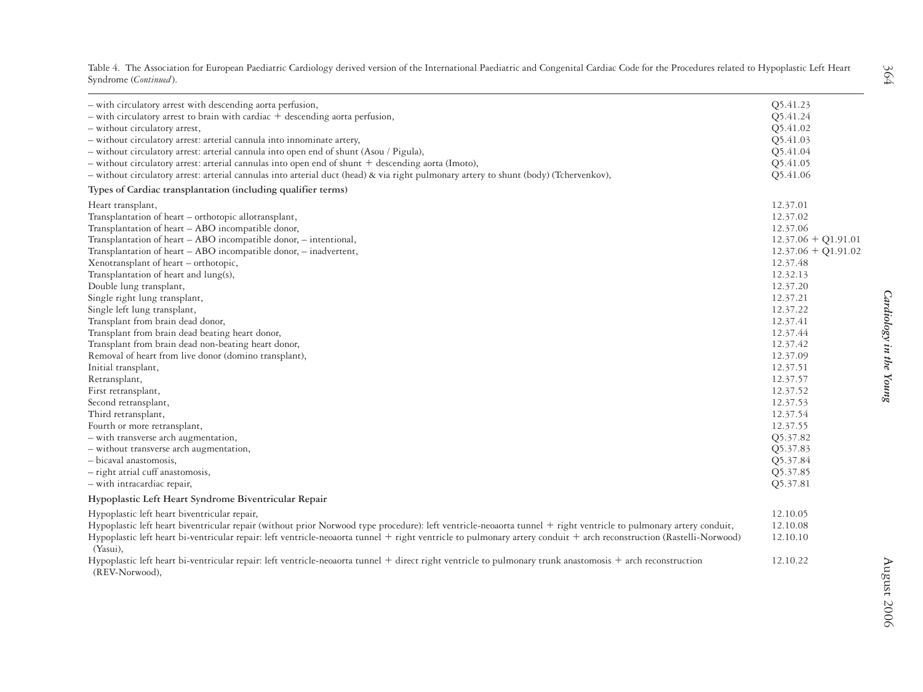| - with circulatory arrest with descending aorta perfusion,                                                                                                                      | Q5.41.23              |                         |
|---------------------------------------------------------------------------------------------------------------------------------------------------------------------------------|-----------------------|-------------------------|
| $-$ with circulatory arrest to brain with cardiac $+$ descending aorta perfusion,                                                                                               | Q5.41.24              |                         |
| - without circulatory arrest,                                                                                                                                                   | Q5.41.02              |                         |
| - without circulatory arrest: arterial cannula into innominate artery,                                                                                                          | Q5.41.03              |                         |
| - without circulatory arrest: arterial cannula into open end of shunt (Asou / Pigula),                                                                                          | Q5.41.04              |                         |
| - without circulatory arrest: arterial cannulas into open end of shunt + descending aorta (Imoto),                                                                              | Q5.41.05              |                         |
| - without circulatory arrest: arterial cannulas into arterial duct (head) & via right pulmonary artery to shunt (body) (Tchervenkov),                                           | Q5.41.06              |                         |
| Types of Cardiac transplantation (including qualifier terms)                                                                                                                    |                       |                         |
| Heart transplant,                                                                                                                                                               | 12.37.01              |                         |
| Transplantation of heart - orthotopic allotransplant,                                                                                                                           | 12.37.02              |                         |
| Transplantation of heart - ABO incompatible donor,                                                                                                                              | 12.37.06              |                         |
| Transplantation of heart - ABO incompatible donor, - intentional,                                                                                                               | $12.37.06 + Q1.91.01$ |                         |
| Transplantation of heart - ABO incompatible donor, - inadvertent,                                                                                                               | $12.37.06 + Q1.91.02$ |                         |
| Xenotransplant of heart - orthotopic,                                                                                                                                           | 12.37.48              |                         |
| Transplantation of heart and lung(s),                                                                                                                                           | 12.32.13              |                         |
| Double lung transplant,                                                                                                                                                         | 12.37.20              |                         |
| Single right lung transplant,                                                                                                                                                   | 12.37.21              | Cardiology in the Young |
| Single left lung transplant,                                                                                                                                                    | 12.37.22              |                         |
| Transplant from brain dead donor,                                                                                                                                               | 12.37.41              |                         |
| Transplant from brain dead beating heart donor,                                                                                                                                 | 12.37.44              |                         |
| Transplant from brain dead non-beating heart donor,                                                                                                                             | 12.37.42              |                         |
| Removal of heart from live donor (domino transplant),                                                                                                                           | 12.37.09              |                         |
| Initial transplant,                                                                                                                                                             | 12.37.51              |                         |
| Retransplant,                                                                                                                                                                   | 12.37.57              |                         |
| First retransplant,                                                                                                                                                             | 12.37.52              |                         |
| Second retransplant,                                                                                                                                                            | 12.37.53              |                         |
| Third retransplant,                                                                                                                                                             | 12.37.54              |                         |
| Fourth or more retransplant,                                                                                                                                                    | 12.37.55              |                         |
| - with transverse arch augmentation,                                                                                                                                            | Q5.37.82              |                         |
| - without transverse arch augmentation,                                                                                                                                         | Q5.37.83              |                         |
| - bicaval anastomosis,                                                                                                                                                          | Q5.37.84              |                         |
| - right atrial cuff anastomosis,                                                                                                                                                | Q5.37.85              |                         |
| - with intracardiac repair,                                                                                                                                                     | Q5.37.81              |                         |
| Hypoplastic Left Heart Syndrome Biventricular Repair                                                                                                                            |                       |                         |
| Hypoplastic left heart biventricular repair,                                                                                                                                    | 12.10.05              |                         |
| Hypoplastic left heart biventricular repair (without prior Norwood type procedure): left ventricle-neoaorta tunnel + right ventricle to pulmonary artery conduit,               | 12.10.08              |                         |
| Hypoplastic left heart bi-ventricular repair: left ventricle-neoaorta tunnel + right ventricle to pulmonary artery conduit + arch reconstruction (Rastelli-Norwood)<br>(Yasui), | 12.10.10              |                         |
| Hypoplastic left heart bi-ventricular repair: left ventricle-neoaorta tunnel + direct right ventricle to pulmonary trunk anastomosis + arch reconstruction<br>(REV-Norwood),    | 12.10.22              | August 2006             |
|                                                                                                                                                                                 |                       |                         |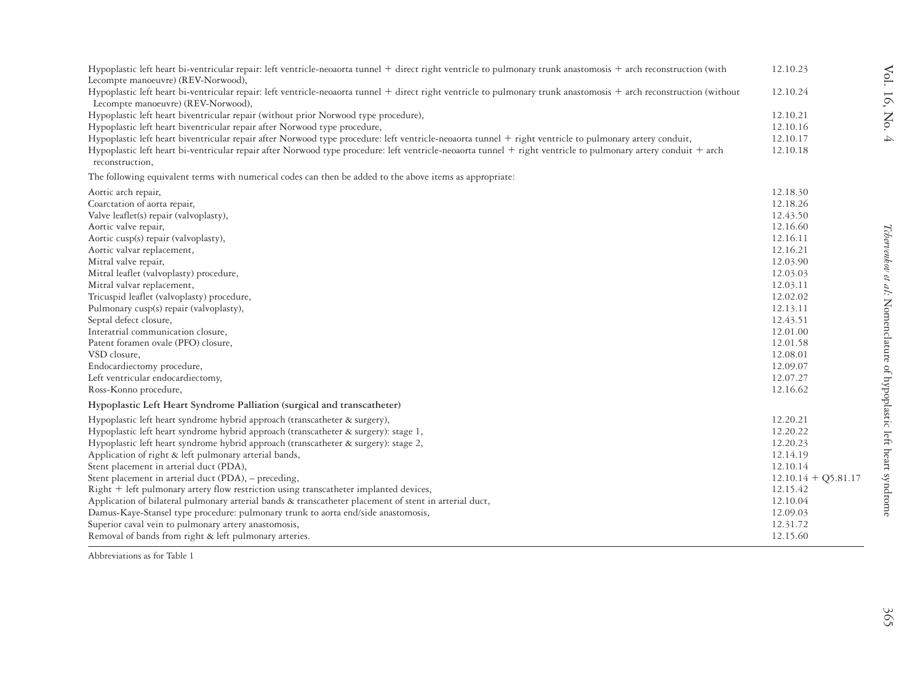| Hypoplastic left heart bi-ventricular repair: left ventricle-neoaorta tunnel + direct right ventricle to pulmonary trunk anastomosis + arch reconstruction (with<br>Lecompte manoeuvre) (REV-Norwood),                                                                                                                                       | 12.10.23              | $\mbox{Vol}.$                                                              |
|----------------------------------------------------------------------------------------------------------------------------------------------------------------------------------------------------------------------------------------------------------------------------------------------------------------------------------------------|-----------------------|----------------------------------------------------------------------------|
| Hypoplastic left heart bi-ventricular repair: left ventricle-neoaorta tunnel + direct right ventricle to pulmonary trunk anastomosis + arch reconstruction (without<br>Lecompte manoeuvre) (REV-Norwood),                                                                                                                                    | 12.10.24              |                                                                            |
| Hypoplastic left heart biventricular repair (without prior Norwood type procedure),<br>Hypoplastic left heart biventricular repair after Norwood type procedure,                                                                                                                                                                             | 12.10.21<br>12.10.16  | 16, No.                                                                    |
| Hypoplastic left heart biventricular repair after Norwood type procedure: left ventricle-neoaorta tunnel + right ventricle to pulmonary artery conduit,<br>Hypoplastic left heart bi-ventricular repair after Norwood type procedure: left ventricle-neoaorta tunnel + right ventricle to pulmonary artery conduit + arch<br>reconstruction, | 12.10.17<br>12.10.18  | 4                                                                          |
| The following equivalent terms with numerical codes can then be added to the above items as appropriate:                                                                                                                                                                                                                                     |                       |                                                                            |
| Aortic arch repair,                                                                                                                                                                                                                                                                                                                          | 12.18.30              |                                                                            |
| Coarctation of aorta repair,                                                                                                                                                                                                                                                                                                                 | 12.18.26              |                                                                            |
| Valve leaflet(s) repair (valvoplasty),                                                                                                                                                                                                                                                                                                       | 12.43.50              |                                                                            |
| Aortic valve repair,                                                                                                                                                                                                                                                                                                                         | 12.16.60              |                                                                            |
| Aortic cusp(s) repair (valvoplasty),                                                                                                                                                                                                                                                                                                         | 12.16.11              |                                                                            |
| Aortic valvar replacement,                                                                                                                                                                                                                                                                                                                   | 12.16.21              |                                                                            |
| Mitral valve repair,                                                                                                                                                                                                                                                                                                                         | 12.03.90              |                                                                            |
| Mitral leaflet (valvoplasty) procedure,                                                                                                                                                                                                                                                                                                      | 12.03.03              |                                                                            |
| Mitral valvar replacement,                                                                                                                                                                                                                                                                                                                   | 12.03.11              |                                                                            |
| Tricuspid leaflet (valvoplasty) procedure,<br>Pulmonary cusp(s) repair (valvoplasty),                                                                                                                                                                                                                                                        | 12.02.02<br>12.13.11  |                                                                            |
| Septal defect closure,                                                                                                                                                                                                                                                                                                                       | 12.43.51              |                                                                            |
| Interatrial communication closure,                                                                                                                                                                                                                                                                                                           | 12.01.00              |                                                                            |
| Patent foramen ovale (PFO) closure,                                                                                                                                                                                                                                                                                                          | 12.01.58              |                                                                            |
| VSD closure,                                                                                                                                                                                                                                                                                                                                 | 12.08.01              |                                                                            |
| Endocardiectomy procedure,                                                                                                                                                                                                                                                                                                                   | 12.09.07              |                                                                            |
| Left ventricular endocardiectomy,                                                                                                                                                                                                                                                                                                            | 12.07.27              |                                                                            |
| Ross-Konno procedure,                                                                                                                                                                                                                                                                                                                        | 12.16.62              |                                                                            |
| Hypoplastic Left Heart Syndrome Palliation (surgical and transcatheter)                                                                                                                                                                                                                                                                      |                       | <i>Tchervenkov et al</i> : Nomenclature of hypoplastic left heart syndrome |
| Hypoplastic left heart syndrome hybrid approach (transcatheter & surgery),                                                                                                                                                                                                                                                                   | 12.20.21              |                                                                            |
| Hypoplastic left heart syndrome hybrid approach (transcatheter & surgery): stage 1,                                                                                                                                                                                                                                                          | 12.20.22              |                                                                            |
| Hypoplastic left heart syndrome hybrid approach (transcatheter & surgery): stage 2,                                                                                                                                                                                                                                                          | 12.20.23              |                                                                            |
| Application of right & left pulmonary arterial bands,                                                                                                                                                                                                                                                                                        | 12.14.19              |                                                                            |
| Stent placement in arterial duct (PDA),                                                                                                                                                                                                                                                                                                      | 12.10.14              |                                                                            |
| Stent placement in arterial duct (PDA), - preceding,                                                                                                                                                                                                                                                                                         | $12.10.14 + Q5.81.17$ |                                                                            |
| Right + left pulmonary artery flow restriction using transcatheter implanted devices,                                                                                                                                                                                                                                                        | 12.15.42              |                                                                            |
| Application of bilateral pulmonary arterial bands & transcatheter placement of stent in arterial duct,                                                                                                                                                                                                                                       | 12.10.04              |                                                                            |
| Damus-Kaye-Stansel type procedure: pulmonary trunk to aorta end/side anastomosis,                                                                                                                                                                                                                                                            | 12.09.03              |                                                                            |
| Superior caval vein to pulmonary artery anastomosis,<br>Removal of bands from right & left pulmonary arteries.                                                                                                                                                                                                                               | 12.31.72<br>12.15.60  |                                                                            |
|                                                                                                                                                                                                                                                                                                                                              |                       |                                                                            |
| Abbreviations as for Table 1                                                                                                                                                                                                                                                                                                                 |                       |                                                                            |
|                                                                                                                                                                                                                                                                                                                                              |                       |                                                                            |
|                                                                                                                                                                                                                                                                                                                                              |                       |                                                                            |
|                                                                                                                                                                                                                                                                                                                                              |                       | Š                                                                          |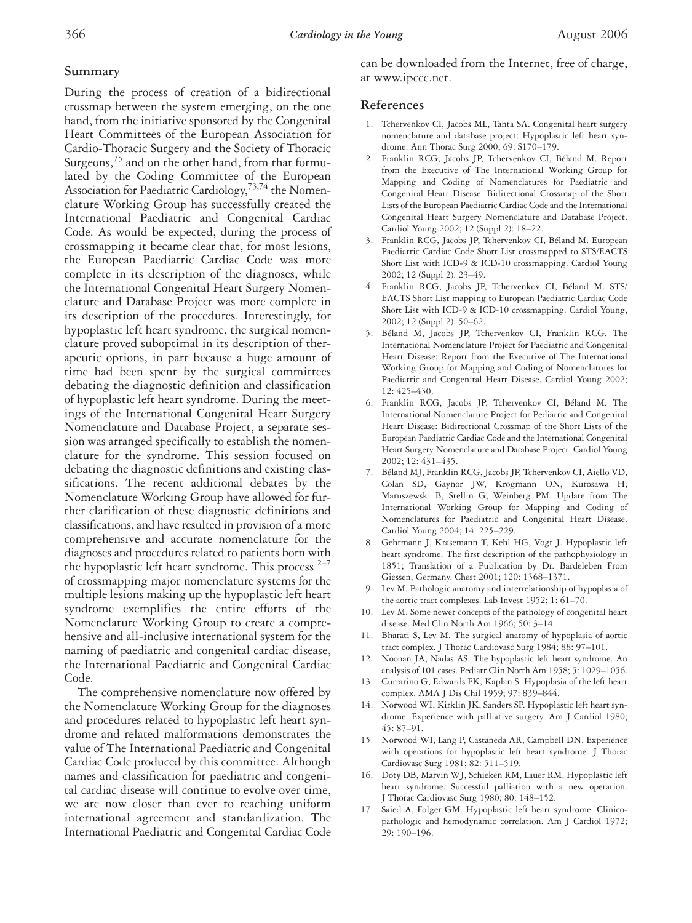#### **Summary**

During the process of creation of a bidirectional crossmap between the system emerging, on the one hand, from the initiative sponsored by the Congenital Heart Committees of the European Association for Cardio-Thoracic Surgery and the Society of Thoracic Surgeons, $^{75}$  and on the other hand, from that formulated by the Coding Committee of the European Association for Paediatric Cardiology,<sup>73,74</sup> the Nomenclature Working Group has successfully created the International Paediatric and Congenital Cardiac Code. As would be expected, during the process of crossmapping it became clear that, for most lesions, the European Paediatric Cardiac Code was more complete in its description of the diagnoses, while the International Congenital Heart Surgery Nomenclature and Database Project was more complete in its description of the procedures. Interestingly, for hypoplastic left heart syndrome, the surgical nomenclature proved suboptimal in its description of therapeutic options, in part because a huge amount of time had been spent by the surgical committees debating the diagnostic definition and classification of hypoplastic left heart syndrome. During the meetings of the International Congenital Heart Surgery Nomenclature and Database Project, a separate session was arranged specifically to establish the nomenclature for the syndrome. This session focused on debating the diagnostic definitions and existing classifications. The recent additional debates by the Nomenclature Working Group have allowed for further clarification of these diagnostic definitions and classifications, and have resulted in provision of a more comprehensive and accurate nomenclature for the diagnoses and procedures related to patients born with the hypoplastic left heart syndrome. This process  $2-7$ of crossmapping major nomenclature systems for the multiple lesions making up the hypoplastic left heart syndrome exemplifies the entire efforts of the Nomenclature Working Group to create a comprehensive and all-inclusive international system for the naming of paediatric and congenital cardiac disease, the International Paediatric and Congenital Cardiac Code.

The comprehensive nomenclature now offered by the Nomenclature Working Group for the diagnoses and procedures related to hypoplastic left heart syndrome and related malformations demonstrates the value of The International Paediatric and Congenital Cardiac Code produced by this committee. Although names and classification for paediatric and congenital cardiac disease will continue to evolve over time, we are now closer than ever to reaching uniform international agreement and standardization. The International Paediatric and Congenital Cardiac Code can be downloaded from the Internet, free of charge, at www.ipccc.net.

#### **References**

- 1. Tchervenkov CI, Jacobs ML, Tahta SA. Congenital heart surgery nomenclature and database project: Hypoplastic left heart syndrome. Ann Thorac Surg 2000; 69: S170–179.
- 2. Franklin RCG, Jacobs JP, Tchervenkov CI, Béland M. Report from the Executive of The International Working Group for Mapping and Coding of Nomenclatures for Paediatric and Congenital Heart Disease: Bidirectional Crossmap of the Short Lists of the European Paediatric Cardiac Code and the International Congenital Heart Surgery Nomenclature and Database Project. Cardiol Young 2002; 12 (Suppl 2): 18–22.
- 3. Franklin RCG, Jacobs JP, Tchervenkov CI, Béland M. European Paediatric Cardiac Code Short List crossmapped to STS/EACTS Short List with ICD-9 & ICD-10 crossmapping. Cardiol Young 2002; 12 (Suppl 2): 23–49.
- 4. Franklin RCG, Jacobs JP, Tchervenkov CI, Béland M. STS/ EACTS Short List mapping to European Paediatric Cardiac Code Short List with ICD-9 & ICD-10 crossmapping. Cardiol Young, 2002; 12 (Suppl 2): 50–62.
- 5. Béland M, Jacobs JP, Tchervenkov CI, Franklin RCG. The International Nomenclature Project for Paediatric and Congenital Heart Disease: Report from the Executive of The International Working Group for Mapping and Coding of Nomenclatures for Paediatric and Congenital Heart Disease. Cardiol Young 2002; 12: 425–430.
- 6. Franklin RCG, Jacobs JP, Tchervenkov CI, Béland M. The International Nomenclature Project for Pediatric and Congenital Heart Disease: Bidirectional Crossmap of the Short Lists of the European Paediatric Cardiac Code and the International Congenital Heart Surgery Nomenclature and Database Project. Cardiol Young 2002; 12: 431–435.
- 7. Béland MJ, Franklin RCG, Jacobs JP, Tchervenkov CI, Aiello VD, Colan SD, Gaynor JW, Krogmann ON, Kurosawa H, Maruszewski B, Stellin G, Weinberg PM. Update from The International Working Group for Mapping and Coding of Nomenclatures for Paediatric and Congenital Heart Disease. Cardiol Young 2004; 14: 225–229.
- 8. Gehrmann J, Krasemann T, Kehl HG, Vogt J. Hypoplastic left heart syndrome. The first description of the pathophysiology in 1851; Translation of a Publication by Dr. Bardeleben From Giessen, Germany. Chest 2001; 120: 1368–1371.
- 9. Lev M. Pathologic anatomy and interrelationship of hypoplasia of the aortic tract complexes. Lab Invest 1952; 1: 61–70.
- 10. Lev M. Some newer concepts of the pathology of congenital heart disease. Med Clin North Am 1966; 50: 3–14.
- 11. Bharati S, Lev M. The surgical anatomy of hypoplasia of aortic tract complex. J Thorac Cardiovasc Surg 1984; 88: 97–101.
- 12. Noonan JA, Nadas AS. The hypoplastic left heart syndrome. An analysis of 101 cases. Pediatr Clin North Am 1958; 5: 1029–1056.
- 13. Currarino G, Edwards FK, Kaplan S. Hypoplasia of the left heart complex. AMA J Dis Chil 1959; 97: 839–844.
- 14. Norwood WI, Kirklin JK, Sanders SP. Hypoplastic left heart syndrome. Experience with palliative surgery. Am J Cardiol 1980; 45: 87–91.
- 15 Norwood WI, Lang P, Castaneda AR, Campbell DN. Experience with operations for hypoplastic left heart syndrome. J Thorac Cardiovasc Surg 1981; 82: 511–519.
- 16. Doty DB, Marvin WJ, Schieken RM, Lauer RM. Hypoplastic left heart syndrome. Successful palliation with a new operation. J Thorac Cardiovasc Surg 1980; 80: 148–152.
- 17. Saied A, Folger GM. Hypoplastic left heart syndrome. Clinicopathologic and hemodynamic correlation. Am J Cardiol 1972; 29: 190–196.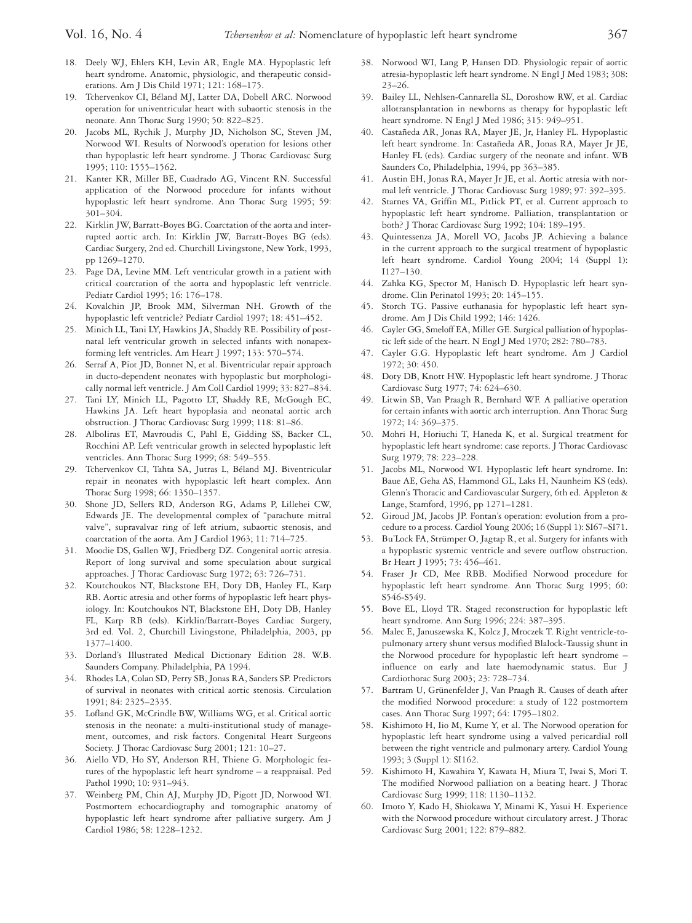- 18. Deely WJ, Ehlers KH, Levin AR, Engle MA. Hypoplastic left heart syndrome. Anatomic, physiologic, and therapeutic considerations. Am J Dis Child 1971; 121: 168–175.
- 19. Tchervenkov CI, Béland MJ, Latter DA, Dobell ARC. Norwood operation for univentricular heart with subaortic stenosis in the neonate. Ann Thorac Surg 1990; 50: 822–825.
- 20. Jacobs ML, Rychik J, Murphy JD, Nicholson SC, Steven JM, Norwood WI. Results of Norwood's operation for lesions other than hypoplastic left heart syndrome. J Thorac Cardiovasc Surg 1995; 110: 1555–1562.
- 21. Kanter KR, Miller BE, Cuadrado AG, Vincent RN. Successful application of the Norwood procedure for infants without hypoplastic left heart syndrome. Ann Thorac Surg 1995; 59: 301–304.
- 22. Kirklin JW, Barratt-Boyes BG. Coarctation of the aorta and interrupted aortic arch. In: Kirklin JW, Barratt-Boyes BG (eds). Cardiac Surgery, 2nd ed. Churchill Livingstone, New York, 1993, pp 1269–1270.
- 23. Page DA, Levine MM. Left ventricular growth in a patient with critical coarctation of the aorta and hypoplastic left ventricle. Pediatr Cardiol 1995; 16: 176–178.
- 24. Kovalchin JP, Brook MM, Silverman NH. Growth of the hypoplastic left ventricle? Pediatr Cardiol 1997; 18: 451–452.
- 25. Minich LL, Tani LY, Hawkins JA, Shaddy RE. Possibility of postnatal left ventricular growth in selected infants with nonapexforming left ventricles. Am Heart J 1997; 133: 570–574.
- 26. Serraf A, Piot JD, Bonnet N, et al. Biventricular repair approach in ducto-dependent neonates with hypoplastic but morphologically normal left ventricle. J Am Coll Cardiol 1999; 33: 827–834.
- 27. Tani LY, Minich LL, Pagotto LT, Shaddy RE, McGough EC, Hawkins JA. Left heart hypoplasia and neonatal aortic arch obstruction. J Thorac Cardiovasc Surg 1999; 118: 81–86.
- 28. Alboliras ET, Mavroudis C, Pahl E, Gidding SS, Backer CL, Rocchini AP. Left ventricular growth in selected hypoplastic left ventricles. Ann Thorac Surg 1999; 68: 549–555.
- 29. Tchervenkov CI, Tahta SA, Jutras L, Béland MJ. Biventricular repair in neonates with hypoplastic left heart complex. Ann Thorac Surg 1998; 66: 1350–1357.
- 30. Shone JD, Sellers RD, Anderson RG, Adams P, Lillehei CW, Edwards JE. The developmental complex of "parachute mitral valve", supravalvar ring of left atrium, subaortic stenosis, and coarctation of the aorta. Am J Cardiol 1963; 11: 714–725.
- 31. Moodie DS, Gallen WJ, Friedberg DZ. Congenital aortic atresia. Report of long survival and some speculation about surgical approaches. J Thorac Cardiovasc Surg 1972; 63: 726–731.
- 32. Koutchoukos NT, Blackstone EH, Doty DB, Hanley FL, Karp RB. Aortic atresia and other forms of hypoplastic left heart physiology. In: Koutchoukos NT, Blackstone EH, Doty DB, Hanley FL, Karp RB (eds). Kirklin/Barratt-Boyes Cardiac Surgery, 3rd ed. Vol. 2, Churchill Livingstone, Philadelphia, 2003, pp 1377–1400.
- 33. Dorland's Illustrated Medical Dictionary Edition 28. W.B. Saunders Company. Philadelphia, PA 1994.
- 34. Rhodes LA, Colan SD, Perry SB, Jonas RA, Sanders SP. Predictors of survival in neonates with critical aortic stenosis. Circulation 1991; 84: 2325–2335.
- 35. Lofland GK, McCrindle BW, Williams WG, et al. Critical aortic stenosis in the neonate: a multi-institutional study of management, outcomes, and risk factors. Congenital Heart Surgeons Society. J Thorac Cardiovasc Surg 2001; 121: 10–27.
- 36. Aiello VD, Ho SY, Anderson RH, Thiene G. Morphologic features of the hypoplastic left heart syndrome – a reappraisal. Ped Pathol 1990; 10: 931–943.
- 37. Weinberg PM, Chin AJ, Murphy JD, Pigott JD, Norwood WI. Postmortem echocardiography and tomographic anatomy of hypoplastic left heart syndrome after palliative surgery. Am J Cardiol 1986; 58: 1228–1232.
- 38. Norwood WI, Lang P, Hansen DD. Physiologic repair of aortic atresia-hypoplastic left heart syndrome. N Engl J Med 1983; 308: 23–26.
- 39. Bailey LL, Nehlsen-Cannarella SL, Doroshow RW, et al. Cardiac allotransplantation in newborns as therapy for hypoplastic left heart syndrome. N Engl J Med 1986; 315: 949–951.
- 40. Castañeda AR, Jonas RA, Mayer JE, Jr, Hanley FL. Hypoplastic left heart syndrome. In: Castañeda AR, Jonas RA, Mayer Jr JE, Hanley FL (eds). Cardiac surgery of the neonate and infant. WB Saunders Co, Philadelphia, 1994, pp 363–385.
- 41. Austin EH, Jonas RA, Mayer Jr JE, et al. Aortic atresia with normal left ventricle. J Thorac Cardiovasc Surg 1989; 97: 392–395.
- 42. Starnes VA, Griffin ML, Pitlick PT, et al. Current approach to hypoplastic left heart syndrome. Palliation, transplantation or both? J Thorac Cardiovasc Surg 1992; 104: 189–195.
- 43. Quintessenza JA, Morell VO, Jacobs JP. Achieving a balance in the current approach to the surgical treatment of hypoplastic left heart syndrome. Cardiol Young 2004; 14 (Suppl 1): I127–130.
- 44. Zahka KG, Spector M, Hanisch D. Hypoplastic left heart syndrome. Clin Perinatol 1993; 20: 145–155.
- 45. Storch TG. Passive euthanasia for hypoplastic left heart syndrome. Am J Dis Child 1992; 146: 1426.
- 46. Cayler GG, Smeloff EA, Miller GE. Surgical palliation of hypoplastic left side of the heart. N Engl J Med 1970; 282: 780–783.
- 47. Cayler G.G. Hypoplastic left heart syndrome. Am J Cardiol 1972; 30: 450.
- 48. Doty DB, Knott HW. Hypoplastic left heart syndrome. J Thorac Cardiovasc Surg 1977; 74: 624–630.
- 49. Litwin SB, Van Praagh R, Bernhard WF. A palliative operation for certain infants with aortic arch interruption. Ann Thorac Surg 1972; 14: 369–375.
- 50. Mohri H, Horiuchi T, Haneda K, et al. Surgical treatment for hypoplastic left heart syndrome: case reports. J Thorac Cardiovasc Surg 1979; 78: 223–228.
- 51. Jacobs ML, Norwood WI. Hypoplastic left heart syndrome. In: Baue AE, Geha AS, Hammond GL, Laks H, Naunheim KS (eds). Glenn's Thoracic and Cardiovascular Surgery, 6th ed. Appleton & Lange, Stamford, 1996, pp 1271–1281.
- 52. Giroud JM, Jacobs JP. Fontan's operation: evolution from a procedure to a process. Cardiol Young 2006; 16 (Suppl 1): SI67–SI71.
- 53. Bu'Lock FA, Strümper O, Jagtap R, et al. Surgery for infants with a hypoplastic systemic ventricle and severe outflow obstruction. Br Heart J 1995; 73: 456–461.
- 54. Fraser Jr CD, Mee RBB. Modified Norwood procedure for hypoplastic left heart syndrome. Ann Thorac Surg 1995; 60: S546-S549.
- 55. Bove EL, Lloyd TR. Staged reconstruction for hypoplastic left heart syndrome. Ann Surg 1996; 224: 387–395.
- 56. Malec E, Januszewska K, Kolcz J, Mroczek T. Right ventricle-topulmonary artery shunt versus modified Blalock-Taussig shunt in the Norwood procedure for hypoplastic left heart syndrome – influence on early and late haemodynamic status. Eur J Cardiothorac Surg 2003; 23: 728–734.
- 57. Bartram U, Grünenfelder J, Van Praagh R. Causes of death after the modified Norwood procedure: a study of 122 postmortem cases. Ann Thorac Surg 1997; 64: 1795–1802.
- 58. Kishimoto H, Iio M, Kume Y, et al. The Norwood operation for hypoplastic left heart syndrome using a valved pericardial roll between the right ventricle and pulmonary artery. Cardiol Young 1993; 3 (Suppl 1): SI162.
- 59. Kishimoto H, Kawahira Y, Kawata H, Miura T, Iwai S, Mori T. The modified Norwood palliation on a beating heart. J Thorac Cardiovasc Surg 1999; 118: 1130–1132.
- 60. Imoto Y, Kado H, Shiokawa Y, Minami K, Yasui H. Experience with the Norwood procedure without circulatory arrest. J Thorac Cardiovasc Surg 2001; 122: 879–882.